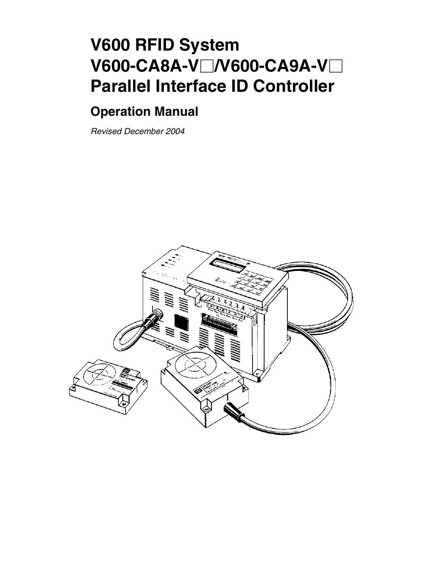# **V600 RFID System V600-CA8A-V/V600-CA9A-V Parallel Interface ID Controller**

# **Operation Manual**

*Revised December 2004*

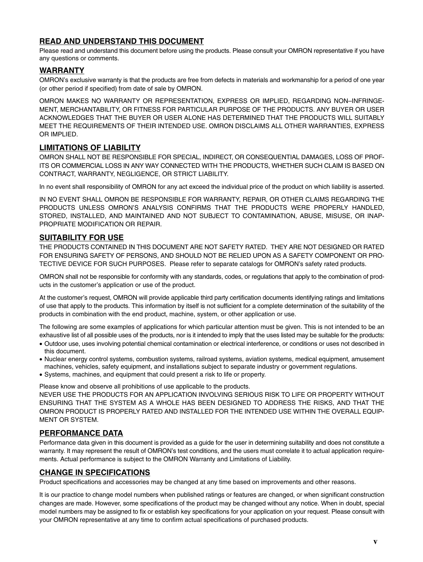## **READ AND UNDERSTAND THIS DOCUMENT**

Please read and understand this document before using the products. Please consult your OMRON representative if you have any questions or comments.

## **WARRANTY**

OMRON's exclusive warranty is that the products are free from defects in materials and workmanship for a period of one year (or other period if specified) from date of sale by OMRON.

OMRON MAKES NO WARRANTY OR REPRESENTATION, EXPRESS OR IMPLIED, REGARDING NON–INFRINGE-MENT, MERCHANTABILITY, OR FITNESS FOR PARTICULAR PURPOSE OF THE PRODUCTS. ANY BUYER OR USER ACKNOWLEDGES THAT THE BUYER OR USER ALONE HAS DETERMINED THAT THE PRODUCTS WILL SUITABLY MEET THE REQUIREMENTS OF THEIR INTENDED USE. OMRON DISCLAIMS ALL OTHER WARRANTIES, EXPRESS OR IMPLIED.

## **LIMITATIONS OF LIABILITY**

OMRON SHALL NOT BE RESPONSIBLE FOR SPECIAL, INDIRECT, OR CONSEQUENTIAL DAMAGES, LOSS OF PROF-ITS OR COMMERCIAL LOSS IN ANY WAY CONNECTED WITH THE PRODUCTS, WHETHER SUCH CLAIM IS BASED ON CONTRACT, WARRANTY, NEGLIGENCE, OR STRICT LIABILITY.

In no event shall responsibility of OMRON for any act exceed the individual price of the product on which liability is asserted.

IN NO EVENT SHALL OMRON BE RESPONSIBLE FOR WARRANTY, REPAIR, OR OTHER CLAIMS REGARDING THE PRODUCTS UNLESS OMRON'S ANALYSIS CONFIRMS THAT THE PRODUCTS WERE PROPERLY HANDLED, STORED, INSTALLED, AND MAINTAINED AND NOT SUBJECT TO CONTAMINATION, ABUSE, MISUSE, OR INAP-PROPRIATE MODIFICATION OR REPAIR.

## **SUITABILITY FOR USE**

THE PRODUCTS CONTAINED IN THIS DOCUMENT ARE NOT SAFETY RATED. THEY ARE NOT DESIGNED OR RATED FOR ENSURING SAFETY OF PERSONS, AND SHOULD NOT BE RELIED UPON AS A SAFETY COMPONENT OR PRO-TECTIVE DEVICE FOR SUCH PURPOSES. Please refer to separate catalogs for OMRON's safety rated products.

OMRON shall not be responsible for conformity with any standards, codes, or regulations that apply to the combination of products in the customer's application or use of the product.

At the customer's request, OMRON will provide applicable third party certification documents identifying ratings and limitations of use that apply to the products. This information by itself is not sufficient for a complete determination of the suitability of the products in combination with the end product, machine, system, or other application or use.

The following are some examples of applications for which particular attention must be given. This is not intended to be an exhaustive list of all possible uses of the products, nor is it intended to imply that the uses listed may be suitable for the products:

- Outdoor use, uses involving potential chemical contamination or electrical interference, or conditions or uses not described in this document.
- Nuclear energy control systems, combustion systems, railroad systems, aviation systems, medical equipment, amusement machines, vehicles, safety equipment, and installations subject to separate industry or government regulations.
- Systems, machines, and equipment that could present a risk to life or property.

Please know and observe all prohibitions of use applicable to the products.

NEVER USE THE PRODUCTS FOR AN APPLICATION INVOLVING SERIOUS RISK TO LIFE OR PROPERTY WITHOUT ENSURING THAT THE SYSTEM AS A WHOLE HAS BEEN DESIGNED TO ADDRESS THE RISKS, AND THAT THE OMRON PRODUCT IS PROPERLY RATED AND INSTALLED FOR THE INTENDED USE WITHIN THE OVERALL EQUIP-MENT OR SYSTEM.

## **PERFORMANCE DATA**

Performance data given in this document is provided as a guide for the user in determining suitability and does not constitute a warranty. It may represent the result of OMRON's test conditions, and the users must correlate it to actual application requirements. Actual performance is subject to the OMRON Warranty and Limitations of Liability.

## **CHANGE IN SPECIFICATIONS**

Product specifications and accessories may be changed at any time based on improvements and other reasons.

It is our practice to change model numbers when published ratings or features are changed, or when significant construction changes are made. However, some specifications of the product may be changed without any notice. When in doubt, special model numbers may be assigned to fix or establish key specifications for your application on your request. Please consult with your OMRON representative at any time to confirm actual specifications of purchased products.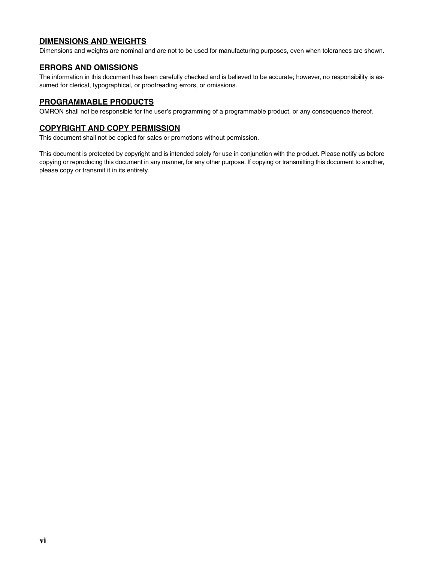## **DIMENSIONS AND WEIGHTS**

Dimensions and weights are nominal and are not to be used for manufacturing purposes, even when tolerances are shown.

#### **ERRORS AND OMISSIONS**

The information in this document has been carefully checked and is believed to be accurate; however, no responsibility is assumed for clerical, typographical, or proofreading errors, or omissions.

#### **PROGRAMMABLE PRODUCTS**

OMRON shall not be responsible for the user's programming of a programmable product, or any consequence thereof.

#### **COPYRIGHT AND COPY PERMISSION**

This document shall not be copied for sales or promotions without permission.

This document is protected by copyright and is intended solely for use in conjunction with the product. Please notify us before copying or reproducing this document in any manner, for any other purpose. If copying or transmitting this document to another, please copy or transmit it in its entirety.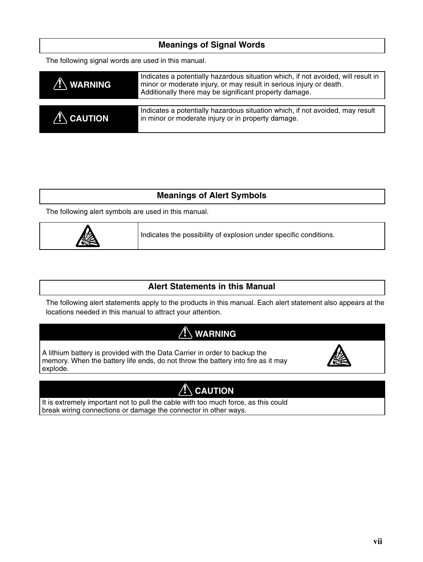| <b>Meanings of Signal Words</b>                     |                                                                                                                                                                                                                    |  |
|-----------------------------------------------------|--------------------------------------------------------------------------------------------------------------------------------------------------------------------------------------------------------------------|--|
| The following signal words are used in this manual. |                                                                                                                                                                                                                    |  |
| <b>WARNING</b>                                      | Indicates a potentially hazardous situation which, if not avoided, will result in<br>minor or moderate injury, or may result in serious injury or death.<br>Additionally there may be significant property damage. |  |
| $\bigwedge$ CAUTION                                 | Indicates a potentially hazardous situation which, if not avoided, may result<br>in minor or moderate injury or in property damage.                                                                                |  |
|                                                     |                                                                                                                                                                                                                    |  |

## **Meanings of Alert Symbols**

The following alert symbols are used in this manual.



Indicates the possibility of explosion under specific conditions.

## **Alert Statements in this Manual**

The following alert statements apply to the products in this manual. Each alert statement also appears at the locations needed in this manual to attract your attention.

# **! WARNING**

A lithium battery is provided with the Data Carrier in order to backup the memory. When the battery life ends, do not throw the battery into fire as it may explode.



# $\sqrt{N}$  CAUTION

It is extremely important not to pull the cable with too much force, as this could break wiring connections or damage the connector in other ways.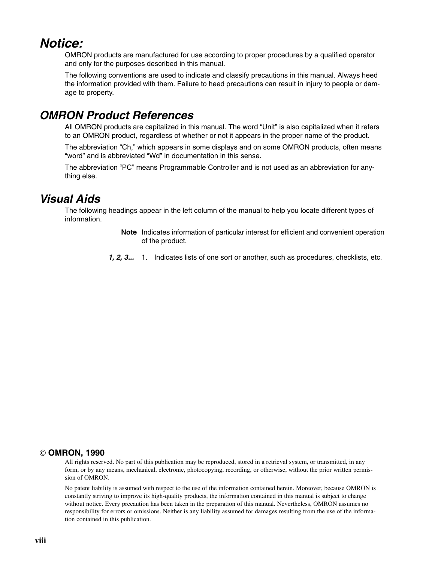# *Notice:*

OMRON products are manufactured for use according to proper procedures by a qualified operator and only for the purposes described in this manual.

The following conventions are used to indicate and classify precautions in this manual. Always heed the information provided with them. Failure to heed precautions can result in injury to people or damage to property.

# *OMRON Product References*

All OMRON products are capitalized in this manual. The word "Unit" is also capitalized when it refers to an OMRON product, regardless of whether or not it appears in the proper name of the product.

The abbreviation "Ch," which appears in some displays and on some OMRON products, often means "word" and is abbreviated "Wd" in documentation in this sense.

The abbreviation "PC" means Programmable Controller and is not used as an abbreviation for anything else.

# *Visual Aids*

The following headings appear in the left column of the manual to help you locate different types of information.

- **Note** Indicates information of particular interest for efficient and convenient operation of the product.
- *1, 2, 3...* 1. Indicates lists of one sort or another, such as procedures, checklists, etc.

## **OMRON, 1990**

All rights reserved. No part of this publication may be reproduced, stored in a retrieval system, or transmitted, in any form, or by any means, mechanical, electronic, photocopying, recording, or otherwise, without the prior written permission of OMRON.

No patent liability is assumed with respect to the use of the information contained herein. Moreover, because OMRON is constantly striving to improve its high-quality products, the information contained in this manual is subject to change without notice. Every precaution has been taken in the preparation of this manual. Nevertheless, OMRON assumes no responsibility for errors or omissions. Neither is any liability assumed for damages resulting from the use of the information contained in this publication.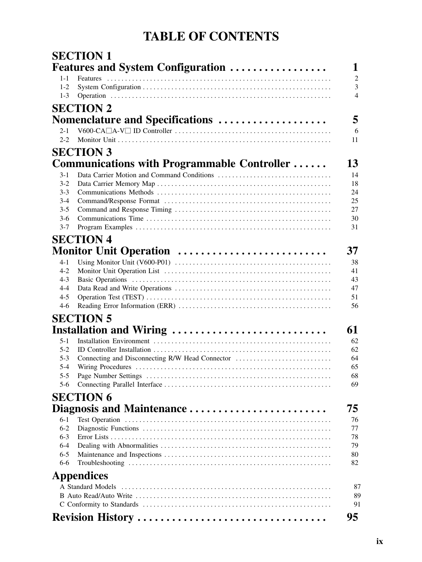# **TABLE OF CONTENTS**

|                    | <b>SECTION 1</b>                                |                |
|--------------------|-------------------------------------------------|----------------|
|                    | <b>Features and System Configuration </b>       | 1              |
| $1 - 1$            | <b>Features</b>                                 | $\overline{2}$ |
| $1-2$              |                                                 | 3              |
| $1 - 3$            |                                                 | $\overline{4}$ |
|                    | <b>SECTION 2</b>                                |                |
|                    | Nomenclature and Specifications                 | 5              |
| $2 - 1$            |                                                 | 6              |
| $2 - 2$            |                                                 | 11             |
|                    | <b>SECTION 3</b>                                |                |
|                    | Communications with Programmable Controller     | 13             |
| $3-1$              |                                                 | 14             |
| $3 - 2$            |                                                 | 18             |
| $3 - 3$            |                                                 | 24             |
| $3-4$              |                                                 | 25             |
| $3 - 5$            |                                                 | 27             |
| $3-6$              |                                                 | 30             |
| $3 - 7$            |                                                 | 31             |
|                    | <b>SECTION 4</b>                                |                |
|                    | Monitor Unit Operation                          | 37             |
| $4 - 1$            |                                                 | 38             |
| $4 - 2$            |                                                 | 41             |
| $4 - 3$            |                                                 | 43             |
| $4 - 4$            |                                                 | 47             |
| $4 - 5$            |                                                 | 51             |
| $4-6$              |                                                 | 56             |
|                    | <b>SECTION 5</b>                                |                |
|                    | Installation and Wiring                         | 61             |
| $5 - 1$            |                                                 | 62             |
| $5 - 2$            |                                                 | 62             |
| $5 - 3$            | Connecting and Disconnecting R/W Head Connector | 64             |
| $5 - 4$            |                                                 | 65             |
| $5 - 5$<br>5-6     |                                                 | 68<br>69       |
|                    |                                                 |                |
|                    | <b>SECTION 6</b>                                |                |
|                    | Diagnosis and Maintenance                       | 75             |
| 6-1                |                                                 | 76             |
| $6-2$              |                                                 | 77             |
| $6 - 3$            |                                                 | 78             |
| $6 - 4$<br>$6 - 5$ |                                                 | 79<br>80       |
| 6-6                |                                                 | 82             |
|                    |                                                 |                |
|                    | <b>Appendices</b>                               |                |
|                    | A Standard Models                               | 87<br>89       |
|                    |                                                 | 91             |
|                    |                                                 |                |
|                    | Revision History                                | 95             |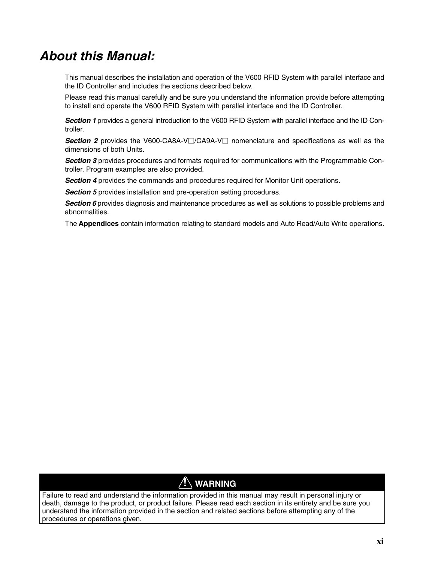# *About this Manual:*

This manual describes the installation and operation of the V600 RFID System with parallel interface and the ID Controller and includes the sections described below.

Please read this manual carefully and be sure you understand the information provide before attempting to install and operate the V600 RFID System with parallel interface and the ID Controller.

*Section 1* provides a general introduction to the V600 RFID System with parallel interface and the ID Controller.

**Section 2** provides the V600-CA8A-V $\Box$ /CA9A-V $\Box$  nomenclature and specifications as well as the dimensions of both Units.

**Section 3** provides procedures and formats required for communications with the Programmable Controller. Program examples are also provided.

**Section 4** provides the commands and procedures required for Monitor Unit operations.

*Section 5* provides installation and pre-operation setting procedures.

*Section 6* provides diagnosis and maintenance procedures as well as solutions to possible problems and abnormalities.

The **Appendices** contain information relating to standard models and Auto Read/Auto Write operations.

# **! WARNING**

Failure to read and understand the information provided in this manual may result in personal injury or death, damage to the product, or product failure. Please read each section in its entirety and be sure you understand the information provided in the section and related sections before attempting any of the procedures or operations given.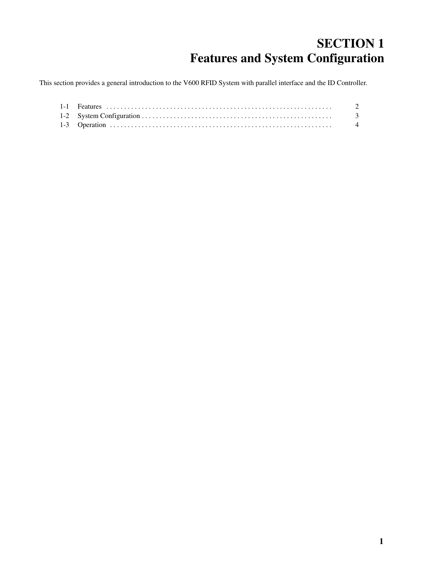# **SECTION 1 Features and System Configuration**

This section provides a general introduction to the V600 RFID System with parallel interface and the ID Controller.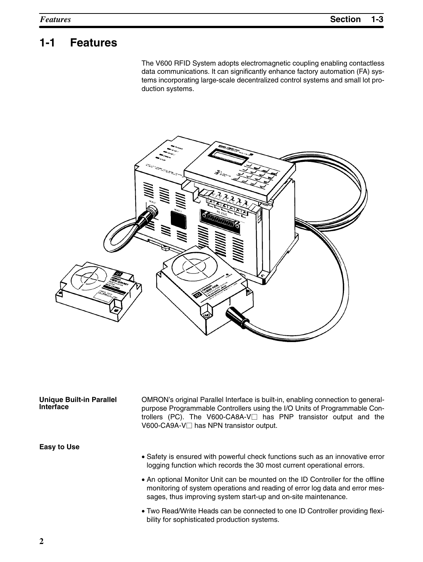# **1-1 Features**

The V600 RFID System adopts electromagnetic coupling enabling contactless data communications. It can significantly enhance factory automation (FA) systems incorporating large-scale decentralized control systems and small lot production systems.



| <b>Unique Built-in Parallel</b><br>Interface | OMRON's original Parallel Interface is built-in, enabling connection to general-<br>purpose Programmable Controllers using the I/O Units of Programmable Con-<br>trollers (PC). The V600-CA8A-V $\Box$ has PNP transistor output and the<br>V600-CA9A-V□ has NPN transistor output. |
|----------------------------------------------|-------------------------------------------------------------------------------------------------------------------------------------------------------------------------------------------------------------------------------------------------------------------------------------|
| <b>Easy to Use</b>                           |                                                                                                                                                                                                                                                                                     |
|                                              | • Safety is ensured with powerful check functions such as an innovative error<br>logging function which records the 30 most current operational errors.                                                                                                                             |
|                                              | • An optional Monitor Unit can be mounted on the ID Controller for the offline<br>monitoring of system operations and reading of error log data and error mes-<br>sages, thus improving system start-up and on-site maintenance.                                                    |

• Two Read/Write Heads can be connected to one ID Controller providing flexibility for sophisticated production systems.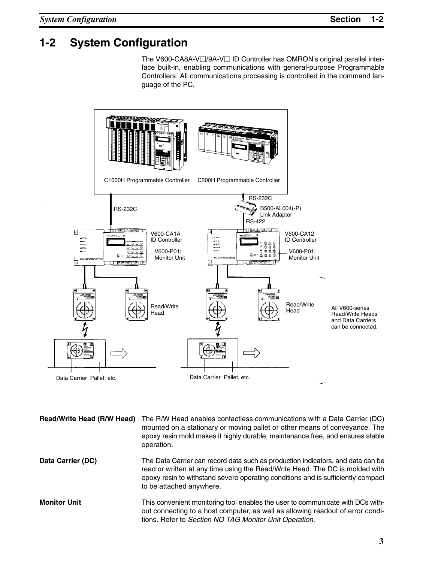# **1-2 System Configuration**

The V600-CA8A-V<sup>o</sup>/9A-V<sup>o</sup> ID Controller has OMRON's original parallel interface built-in, enabling communications with general-purpose Programmable Controllers. All communications processing is controlled in the command language of the PC.



| Read/Write Head (R/W Head) | The R/W Head enables contactless communications with a Data Carrier (DC)<br>mounted on a stationary or moving pallet or other means of conveyance. The<br>epoxy resin mold makes it highly durable, maintenance free, and ensures stable<br>operation.                          |
|----------------------------|---------------------------------------------------------------------------------------------------------------------------------------------------------------------------------------------------------------------------------------------------------------------------------|
| Data Carrier (DC)          | The Data Carrier can record data such as production indicators, and data can be<br>read or written at any time using the Read/Write Head. The DC is molded with<br>epoxy resin to withstand severe operating conditions and is sufficiently compact<br>to be attached anywhere. |
| <b>Monitor Unit</b>        | This convenient monitoring tool enables the user to communicate with DCs with-                                                                                                                                                                                                  |

out connecting to a host computer, as well as allowing readout of error conditions. Refer to *Section NO TAG Monitor Unit Operation*.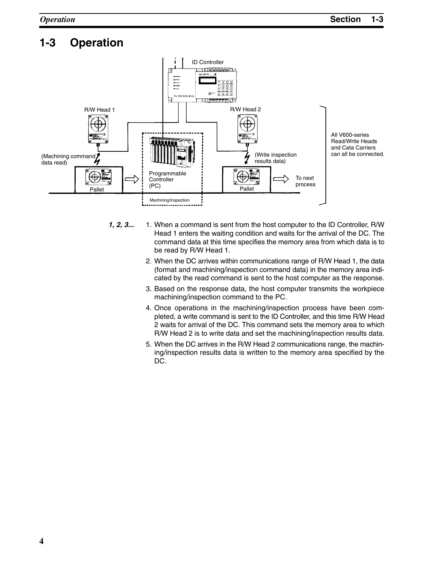# **1-3 Operation**



- *1, 2, 3...* 1. When a command is sent from the host computer to the ID Controller, R/W Head 1 enters the waiting condition and waits for the arrival of the DC. The command data at this time specifies the memory area from which data is to be read by R/W Head 1.
	- 2. When the DC arrives within communications range of R/W Head 1, the data (format and machining/inspection command data) in the memory area indicated by the read command is sent to the host computer as the response.
	- 3. Based on the response data, the host computer transmits the workpiece machining/inspection command to the PC.
	- 4. Once operations in the machining/inspection process have been completed, a write command is sent to the ID Controller, and this time R/W Head 2 waits for arrival of the DC. This command sets the memory area to which R/W Head 2 is to write data and set the machining/inspection results data.
	- 5. When the DC arrives in the R/W Head 2 communications range, the machining/inspection results data is written to the memory area specified by the DC.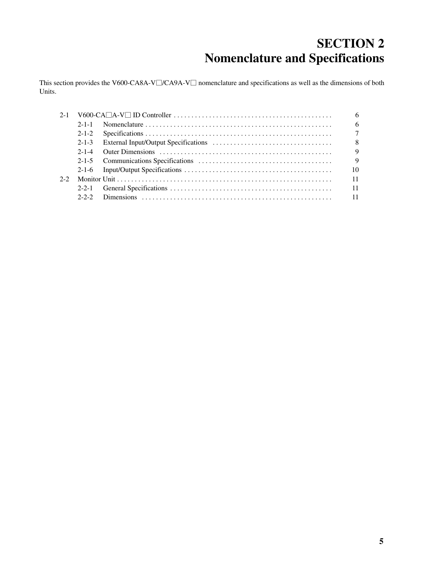# **SECTION 2 Nomenclature and Specifications**

This section provides the V600-CA8A-V $\Box$ /CA9A-V $\Box$  nomenclature and specifications as well as the dimensions of both Units.

| $2 - 1$ |             |  |        |
|---------|-------------|--|--------|
|         | $2 - 1 - 1$ |  | 6      |
|         | $2 - 1 - 2$ |  | $\tau$ |
|         | $2 - 1 - 3$ |  | 8      |
|         | $2 - 1 - 4$ |  | 9      |
|         |             |  | 9      |
|         |             |  | 10     |
| $2 - 2$ |             |  | 11     |
|         | $2 - 2 - 1$ |  | 11     |
|         | $2 - 2 - 2$ |  |        |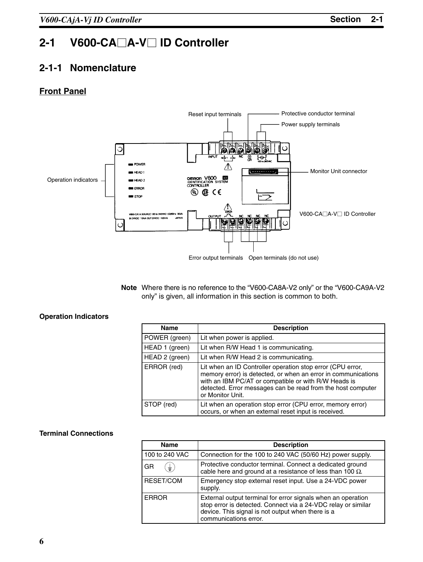# 2-1 V600-CA□A-V□ ID Controller

## **2-1-1 Nomenclature**

## **Front Panel**



**Note** Where there is no reference to the "V600-CA8A-V2 only" or the "V600-CA9A-V2 only" is given, all information in this section is common to both.

## **Operation Indicators**

| Name           | <b>Description</b>                                                                                                                                                                                                                                                     |
|----------------|------------------------------------------------------------------------------------------------------------------------------------------------------------------------------------------------------------------------------------------------------------------------|
| POWER (green)  | Lit when power is applied.                                                                                                                                                                                                                                             |
| HEAD 1 (green) | Lit when R/W Head 1 is communicating.                                                                                                                                                                                                                                  |
| HEAD 2 (green) | Lit when R/W Head 2 is communicating.                                                                                                                                                                                                                                  |
| ERROR (red)    | Lit when an ID Controller operation stop error (CPU error,<br>memory error) is detected, or when an error in communications<br>with an IBM PC/AT or compatible or with R/W Heads is<br>detected. Error messages can be read from the host computer<br>or Monitor Unit. |
| STOP (red)     | Lit when an operation stop error (CPU error, memory error)<br>occurs, or when an external reset input is received.                                                                                                                                                     |

## **Terminal Connections**

| <b>Name</b>    | <b>Description</b>                                                                                                                                                                                          |
|----------------|-------------------------------------------------------------------------------------------------------------------------------------------------------------------------------------------------------------|
| 100 to 240 VAC | Connection for the 100 to 240 VAC (50/60 Hz) power supply.                                                                                                                                                  |
| GR<br>$\pm$ )  | Protective conductor terminal. Connect a dedicated ground<br>cable here and ground at a resistance of less than 100 $\Omega$ .                                                                              |
| RESET/COM      | Emergency stop external reset input. Use a 24-VDC power<br>supply.                                                                                                                                          |
| <b>ERROR</b>   | External output terminal for error signals when an operation<br>stop error is detected. Connect via a 24-VDC relay or similar<br>device. This signal is not output when there is a<br>communications error. |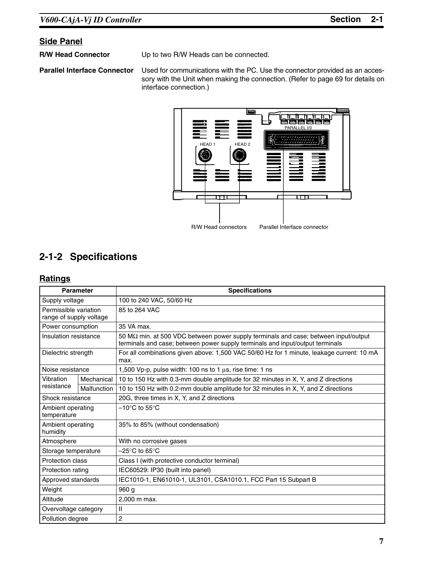## **Side Panel**

**R/W Head Connector** Up to two R/W Heads can be connected.

**Parallel Interface Connector** Used for communications with the PC. Use the connector provided as an accessory with the Unit when making the connection. (Refer to page 69 for details on interface connection.)



# **2-1-2 Specifications**

## **Ratings**

| <b>Parameter</b>                                 |             | <b>Specifications</b>                                                                                                                                                        |
|--------------------------------------------------|-------------|------------------------------------------------------------------------------------------------------------------------------------------------------------------------------|
| Supply voltage                                   |             | 100 to 240 VAC, 50/60 Hz                                                                                                                                                     |
| Permissible variation<br>range of supply voltage |             | 85 to 264 VAC                                                                                                                                                                |
| Power consumption                                |             | 35 VA max.                                                                                                                                                                   |
| Insulation resistance                            |             | 50 M $\Omega$ min. at 500 VDC between power supply terminals and case; between input/output<br>terminals and case; between power supply terminals and input/output terminals |
| Dielectric strength                              |             | For all combinations given above: 1,500 VAC 50/60 Hz for 1 minute, leakage current: 10 mA<br>max.                                                                            |
| Noise resistance                                 |             | 1,500 Vp-p, pulse width: 100 ns to 1 $\mu$ s, rise time: 1 ns                                                                                                                |
| Vibration                                        | Mechanical  | 10 to 150 Hz with 0.3-mm double amplitude for 32 minutes in X, Y, and Z directions                                                                                           |
| resistance                                       | Malfunction | 10 to 150 Hz with 0.2-mm double amplitude for 32 minutes in X, Y, and Z directions                                                                                           |
| Shock resistance                                 |             | 20G, three times in X, Y, and Z directions                                                                                                                                   |
| Ambient operating<br>temperature                 |             | $-10^{\circ}$ C to 55 $^{\circ}$ C                                                                                                                                           |
| Ambient operating<br>humidity                    |             | 35% to 85% (without condensation)                                                                                                                                            |
| Atmosphere                                       |             | With no corrosive gases                                                                                                                                                      |
| Storage temperature                              |             | $-25^{\circ}$ C to 65 $^{\circ}$ C                                                                                                                                           |
| Protection class                                 |             | Class I (with protective conductor terminal)                                                                                                                                 |
| Protection rating                                |             | IEC60529: IP30 (built into panel)                                                                                                                                            |
| Approved standards                               |             | IEC1010-1, EN61010-1, UL3101, CSA1010.1, FCC Part 15 Subpart B                                                                                                               |
| Weight                                           |             | 960 <sub>g</sub>                                                                                                                                                             |
| Altitude                                         |             | 2,000 m max.                                                                                                                                                                 |
| Overvoltage category                             |             | $\mathbf{H}$                                                                                                                                                                 |
| Pollution degree                                 |             | 2                                                                                                                                                                            |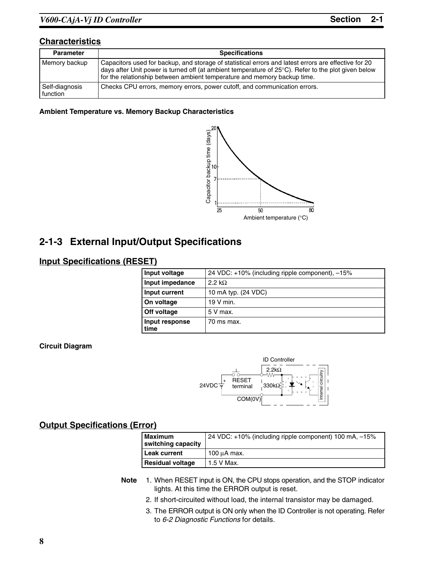## **Characteristics**

| <b>Parameter</b>           | <b>Specifications</b>                                                                                                                                                                                                                                                                   |  |
|----------------------------|-----------------------------------------------------------------------------------------------------------------------------------------------------------------------------------------------------------------------------------------------------------------------------------------|--|
| Memory backup              | Capacitors used for backup, and storage of statistical errors and latest errors are effective for 20<br>days after Unit power is turned off (at ambient temperature of 25°C). Refer to the plot given below<br>for the relationship between ambient temperature and memory backup time. |  |
| Self-diagnosis<br>function | Checks CPU errors, memory errors, power cutoff, and communication errors.                                                                                                                                                                                                               |  |

## **Ambient Temperature vs. Memory Backup Characteristics**



# **2-1-3 External Input/Output Specifications**

## **Input Specifications (RESET)**

| Input voltage          | 24 VDC: +10% (including ripple component), -15% |
|------------------------|-------------------------------------------------|
| Input impedance        | $2.2 k\Omega$                                   |
| Input current          | 10 mA typ. (24 VDC)                             |
| On voltage             | 19 V min.                                       |
| Off voltage            | 5 V max.                                        |
| Input response<br>time | 70 ms max.                                      |

## **Circuit Diagram**



## **Output Specifications (Error)**

| Maximum<br>switching capacity | 24 VDC: +10% (including ripple component) 100 mA, -15% |
|-------------------------------|--------------------------------------------------------|
| Leak current                  | 100 µA max.                                            |
| <b>Residual voltage</b>       | 1.5 V Max.                                             |

- **Note** 1. When RESET input is ON, the CPU stops operation, and the STOP indicator lights. At this time the ERROR output is reset.
	- 2. If short-circuited without load, the internal transistor may be damaged.
	- 3. The ERROR output is ON only when the ID Controller is not operating. Refer to *6-2 Diagnostic Functions* for details.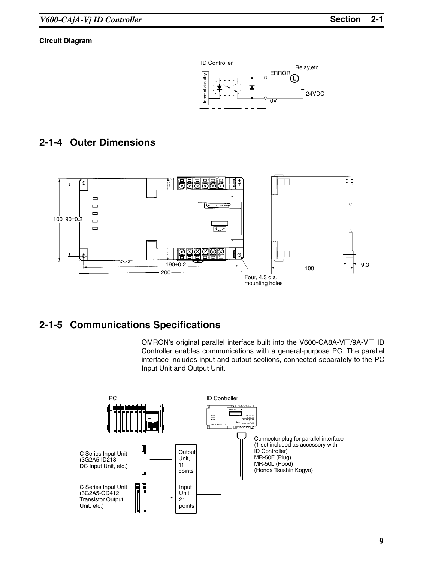## **Circuit Diagram**



## **2-1-4 Outer Dimensions**



## **2-1-5 Communications Specifications**

OMRON's original parallel interface built into the V600-CA8A-V | /9A-V | ID Controller enables communications with a general-purpose PC. The parallel interface includes input and output sections, connected separately to the PC Input Unit and Output Unit.

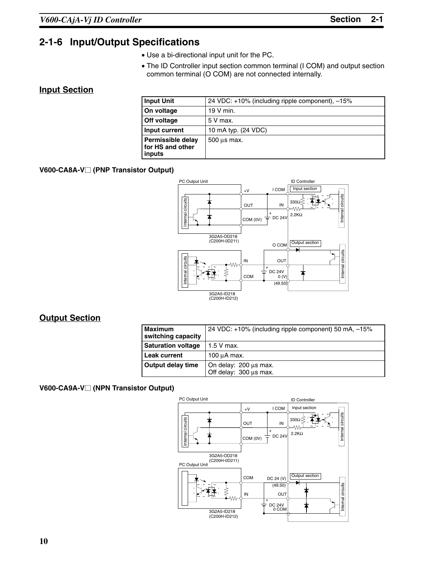# **2-1-6 Input/Output Specifications**

- Use a bi-directional input unit for the PC.
- The ID Controller input section common terminal (I COM) and output section common terminal (O COM) are not connected internally.

## **Input Section**

| <b>Input Unit</b>                               | 24 VDC: +10% (including ripple component), -15% |
|-------------------------------------------------|-------------------------------------------------|
| On voltage                                      | $19V$ min.                                      |
| <b>Off voltage</b>                              | 5 V max.                                        |
| Input current                                   | 10 mA typ. (24 VDC)                             |
| Permissible delay<br>for HS and other<br>inputs | $500 \mu s$ max.                                |

## **V600-CA8A-V (PNP Transistor Output)**



## **Output Section**

| <b>Maximum</b><br>switching capacity | 24 VDC: +10% (including ripple component) 50 mA, -15% |
|--------------------------------------|-------------------------------------------------------|
| <b>Saturation voltage</b>            | $1.5$ V max.                                          |
| <b>Leak current</b>                  | 100 µA max.                                           |
| <b>Output delay time</b>             | On delay: 200 µs max.<br>Off delay: 300 us max.       |

## **V600-CA9A-V (NPN Transistor Output)**

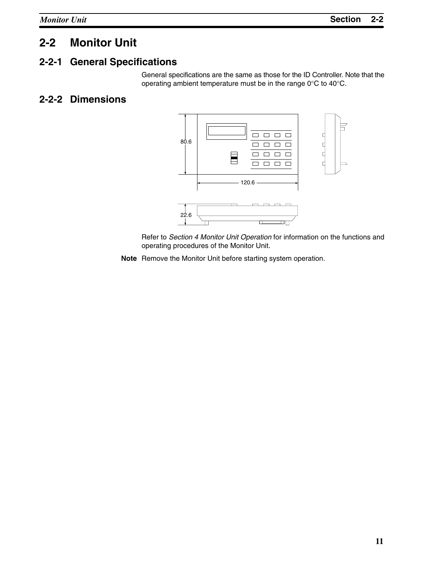# **2-2 Monitor Unit**

# **2-2-1 General Specifications**

General specifications are the same as those for the ID Controller. Note that the operating ambient temperature must be in the range 0°C to 40°C.

# **2-2-2 Dimensions**



Refer to *Section 4 Monitor Unit Operation* for information on the functions and operating procedures of the Monitor Unit.

**Note** Remove the Monitor Unit before starting system operation.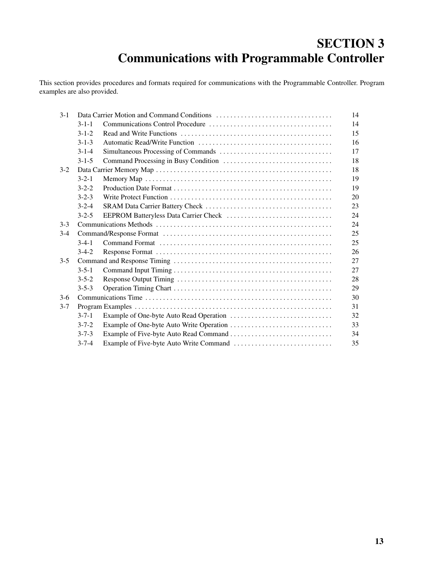# **SECTION 3 Communications with Programmable Controller**

This section provides procedures and formats required for communications with the Programmable Controller. Program examples are also provided.

| $3 - 1$ |             | 14 |
|---------|-------------|----|
|         | $3 - 1 - 1$ | 14 |
|         | $3 - 1 - 2$ | 15 |
|         | $3 - 1 - 3$ | 16 |
|         | $3 - 1 - 4$ | 17 |
|         | $3 - 1 - 5$ | 18 |
| $3-2$   |             | 18 |
|         | $3 - 2 - 1$ | 19 |
|         | $3 - 2 - 2$ | 19 |
|         | $3 - 2 - 3$ | 20 |
|         | $3 - 2 - 4$ | 23 |
|         | $3 - 2 - 5$ | 24 |
| $3-3$   |             | 24 |
| $3-4$   |             | 25 |
|         | $3-4-1$     | 25 |
|         | $3-4-2$     | 26 |
| $3 - 5$ |             | 27 |
|         | $3 - 5 - 1$ | 27 |
|         | $3 - 5 - 2$ | 28 |
|         | $3 - 5 - 3$ | 29 |
| $3-6$   |             | 30 |
| $3 - 7$ |             | 31 |
|         | $3 - 7 - 1$ | 32 |
|         | $3 - 7 - 2$ | 33 |
|         | $3 - 7 - 3$ | 34 |
|         | $3 - 7 - 4$ | 35 |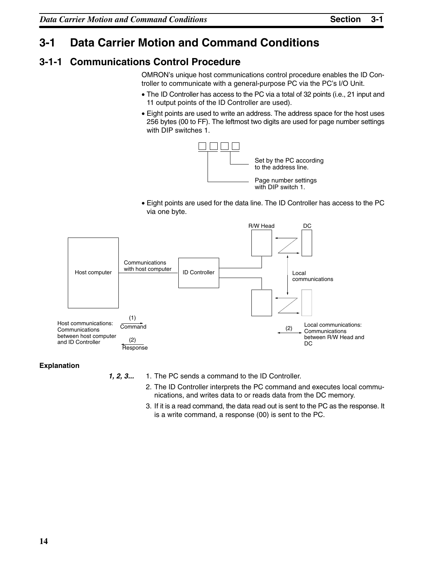# **3-1 Data Carrier Motion and Command Conditions**

# **3-1-1 Communications Control Procedure**

OMRON's unique host communications control procedure enables the ID Controller to communicate with a general-purpose PC via the PC's I/O Unit.

- The ID Controller has access to the PC via a total of 32 points (i.e., 21 input and 11 output points of the ID Controller are used).
- Eight points are used to write an address. The address space for the host uses 256 bytes (00 to FF). The leftmost two digits are used for page number settings with DIP switches 1.



• Eight points are used for the data line. The ID Controller has access to the PC via one byte.



## **Explanation**

*1, 2, 3...* 1. The PC sends a command to the ID Controller.

- 2. The ID Controller interprets the PC command and executes local communications, and writes data to or reads data from the DC memory.
- 3. If it is a read command, the data read out is sent to the PC as the response. It is a write command, a response (00) is sent to the PC.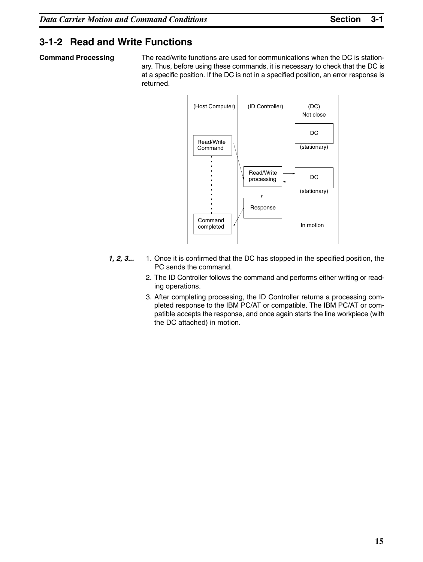## **3-1-2 Read and Write Functions**

**Command Processing** The read/write functions are used for communications when the DC is stationary. Thus, before using these commands, it is necessary to check that the DC is at a specific position. If the DC is not in a specified position, an error response is returned.



- *1, 2, 3...* 1. Once it is confirmed that the DC has stopped in the specified position, the PC sends the command.
	- 2. The ID Controller follows the command and performs either writing or reading operations.
	- 3. After completing processing, the ID Controller returns a processing completed response to the IBM PC/AT or compatible. The IBM PC/AT or compatible accepts the response, and once again starts the line workpiece (with the DC attached) in motion.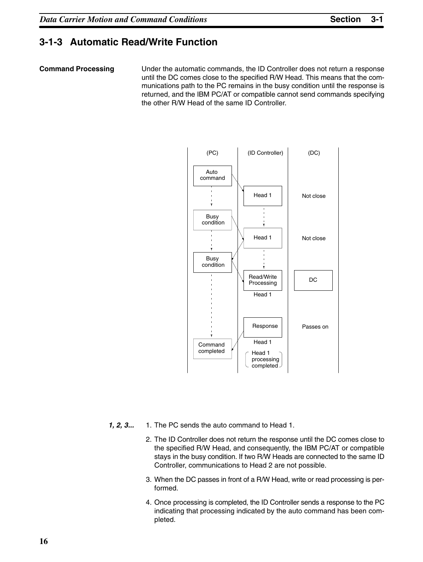## **3-1-3 Automatic Read/Write Function**

**Command Processing** Under the automatic commands, the ID Controller does not return a response until the DC comes close to the specified R/W Head. This means that the communications path to the PC remains in the busy condition until the response is returned, and the IBM PC/AT or compatible cannot send commands specifying the other R/W Head of the same ID Controller.



- *1, 2, 3...* 1. The PC sends the auto command to Head 1.
	- 2. The ID Controller does not return the response until the DC comes close to the specified R/W Head, and consequently, the IBM PC/AT or compatible stays in the busy condition. If two R/W Heads are connected to the same ID Controller, communications to Head 2 are not possible.
	- 3. When the DC passes in front of a R/W Head, write or read processing is performed.
	- 4. Once processing is completed, the ID Controller sends a response to the PC indicating that processing indicated by the auto command has been completed.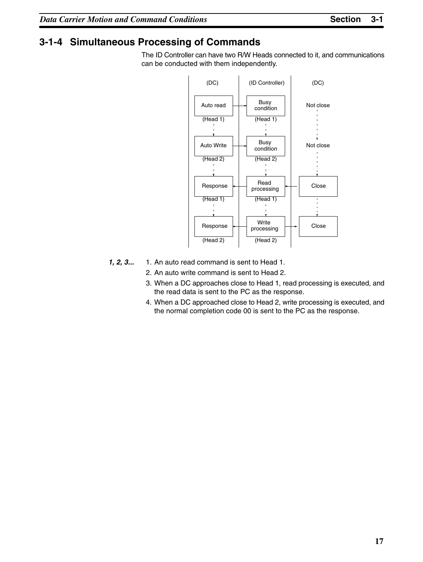# **3-1-4 Simultaneous Processing of Commands**

The ID Controller can have two R/W Heads connected to it, and communications can be conducted with them independently.



- *1, 2, 3...* 1. An auto read command is sent to Head 1.
	- 2. An auto write command is sent to Head 2.
	- 3. When a DC approaches close to Head 1, read processing is executed, and the read data is sent to the PC as the response.
	- 4. When a DC approached close to Head 2, write processing is executed, and the normal completion code 00 is sent to the PC as the response.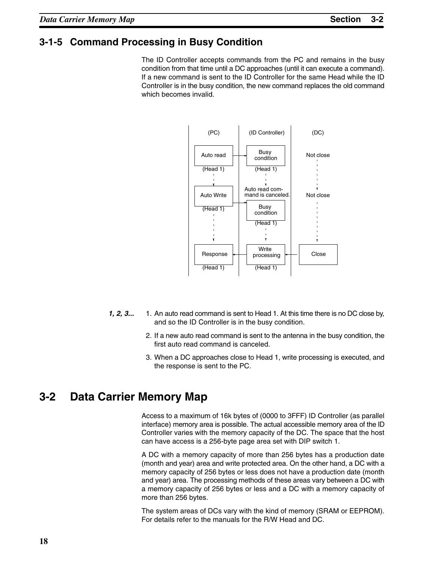## **3-1-5 Command Processing in Busy Condition**

The ID Controller accepts commands from the PC and remains in the busy condition from that time until a DC approaches (until it can execute a command). If a new command is sent to the ID Controller for the same Head while the ID Controller is in the busy condition, the new command replaces the old command which becomes invalid.



- **1, 2, 3...** 1. An auto read command is sent to Head 1. At this time there is no DC close by, and so the ID Controller is in the busy condition.
	- 2. If a new auto read command is sent to the antenna in the busy condition, the first auto read command is canceled.
	- 3. When a DC approaches close to Head 1, write processing is executed, and the response is sent to the PC.

# **3-2 Data Carrier Memory Map**

Access to a maximum of 16k bytes of (0000 to 3FFF) ID Controller (as parallel interface) memory area is possible. The actual accessible memory area of the ID Controller varies with the memory capacity of the DC. The space that the host can have access is a 256-byte page area set with DIP switch 1.

A DC with a memory capacity of more than 256 bytes has a production date (month and year) area and write protected area. On the other hand, a DC with a memory capacity of 256 bytes or less does not have a production date (month and year) area. The processing methods of these areas vary between a DC with a memory capacity of 256 bytes or less and a DC with a memory capacity of more than 256 bytes.

The system areas of DCs vary with the kind of memory (SRAM or EEPROM). For details refer to the manuals for the R/W Head and DC.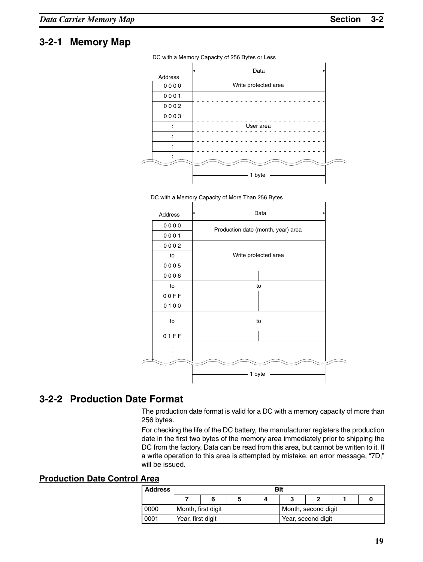## **3-2-1 Memory Map**

DC with a Memory Capacity of 256 Bytes or Less







# **3-2-2 Production Date Format**

The production date format is valid for a DC with a memory capacity of more than 256 bytes.

For checking the life of the DC battery, the manufacturer registers the production date in the first two bytes of the memory area immediately prior to shipping the DC from the factory. Data can be read from this area, but cannot be written to it. If a write operation to this area is attempted by mistake, an error message, "7D," will be issued.

## **Production Date Control Area**

| <b>Address</b> |                    | Bit |  |  |                     |                    |  |  |  |  |  |
|----------------|--------------------|-----|--|--|---------------------|--------------------|--|--|--|--|--|
|                |                    |     |  |  |                     |                    |  |  |  |  |  |
| 0000           | Month, first digit |     |  |  | Month, second digit |                    |  |  |  |  |  |
| 0001           | Year, first digit  |     |  |  |                     | Year, second digit |  |  |  |  |  |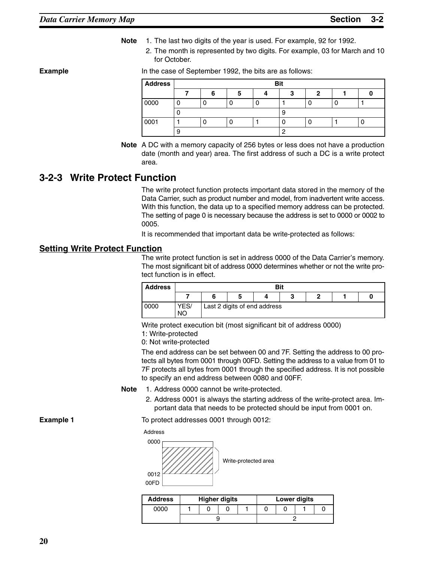- **Note** 1. The last two digits of the year is used. For example, 92 for 1992.
	- 2. The month is represented by two digits. For example, 03 for March and 10 for October.

#### **Example** In the case of September 1992, the bits are as follows:

| <b>Address</b> |   |  | <b>Bit</b> |   |  |
|----------------|---|--|------------|---|--|
|                |   |  |            | n |  |
| 0000           |   |  |            |   |  |
|                |   |  | ະ          |   |  |
| 0001           |   |  |            |   |  |
|                | 9 |  |            |   |  |

**Note** A DC with a memory capacity of 256 bytes or less does not have a production date (month and year) area. The first address of such a DC is a write protect area.

## **3-2-3 Write Protect Function**

The write protect function protects important data stored in the memory of the Data Carrier, such as product number and model, from inadvertent write access. With this function, the data up to a specified memory address can be protected. The setting of page 0 is necessary because the address is set to 0000 or 0002 to 0005.

It is recommended that important data be write-protected as follows:

#### **Setting Write Protect Function**

The write protect function is set in address 0000 of the Data Carrier's memory. The most significant bit of address 0000 determines whether or not the write protect function is in effect.

| <b>Address</b> |                   | Bit<br>m<br>ч |  |                              |  |  |  |  |  |  |
|----------------|-------------------|---------------|--|------------------------------|--|--|--|--|--|--|
|                |                   |               |  |                              |  |  |  |  |  |  |
| 0000           | YES/<br><b>NO</b> |               |  | Last 2 digits of end address |  |  |  |  |  |  |

Write protect execution bit (most significant bit of address 0000)

1: Write-protected

0: Not write-protected

The end address can be set between 00 and 7F. Setting the address to 00 protects all bytes from 0001 through 00FD. Setting the address to a value from 01 to 7F protects all bytes from 0001 through the specified address. It is not possible to specify an end address between 0080 and 00FF.

- **Note** 1. Address 0000 cannot be write-protected.
	- 2. Address 0001 is always the starting address of the write-protect area. Important data that needs to be protected should be input from 0001 on.

**Example 1** To protect addresses 0001 through 0012:



| <b>Address</b> |  | <b>Higher digits</b> |  |  | <b>Lower digits</b> |  |  |
|----------------|--|----------------------|--|--|---------------------|--|--|
| 0000           |  |                      |  |  |                     |  |  |
|                |  |                      |  |  |                     |  |  |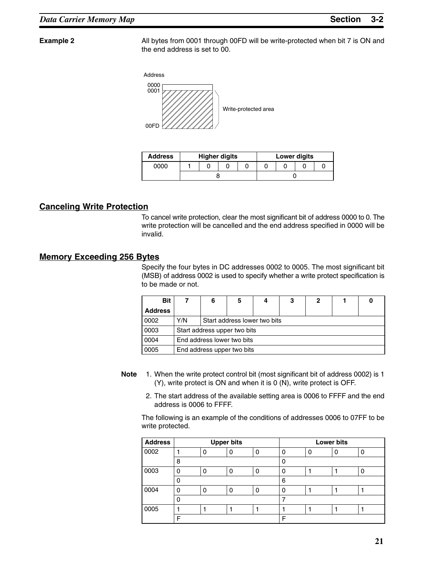**Example 2** All bytes from 0001 through 00FD will be write-protected when bit 7 is ON and the end address is set to 00.



| <b>Address</b> |  | <b>Higher digits</b> |  |  | <b>Lower digits</b> |  |
|----------------|--|----------------------|--|--|---------------------|--|
| 0000           |  |                      |  |  |                     |  |
|                |  |                      |  |  |                     |  |

## **Canceling Write Protection**

To cancel write protection, clear the most significant bit of address 0000 to 0. The write protection will be cancelled and the end address specified in 0000 will be invalid.

## **Memory Exceeding 256 Bytes**

Specify the four bytes in DC addresses 0002 to 0005. The most significant bit (MSB) of address 0002 is used to specify whether a write protect specification is to be made or not.

| <b>Bit</b>     |     | 6                            | 5 | 4 | 3 | 2 |  |  |  |
|----------------|-----|------------------------------|---|---|---|---|--|--|--|
| <b>Address</b> |     |                              |   |   |   |   |  |  |  |
| 0002           | Y/N | Start address lower two bits |   |   |   |   |  |  |  |
| 0003           |     | Start address upper two bits |   |   |   |   |  |  |  |
| 0004           |     | End address lower two bits   |   |   |   |   |  |  |  |
| 0005           |     | End address upper two bits   |   |   |   |   |  |  |  |

- **Note** 1. When the write protect control bit (most significant bit of address 0002) is 1 (Y), write protect is ON and when it is 0 (N), write protect is OFF.
	- 2. The start address of the available setting area is 0006 to FFFF and the end address is 0006 to FFFF.

The following is an example of the conditions of addresses 0006 to 07FF to be write protected.

| <b>Address</b> |          |   | <b>Upper bits</b> |   |          |   | <b>Lower bits</b> |   |
|----------------|----------|---|-------------------|---|----------|---|-------------------|---|
| 0002           |          | 0 | 0                 | 0 | 0        | ∩ | O                 | 0 |
|                | 8        |   |                   |   | 0        |   |                   |   |
| 0003           | ი        |   |                   | 0 | $\Omega$ |   |                   | O |
|                | ი        |   |                   |   | 6        |   |                   |   |
| 0004           | $\Omega$ | ი | n                 | 0 | $\Omega$ |   |                   |   |
|                | ი        |   |                   |   |          |   |                   |   |
| 0005           |          |   |                   |   |          |   |                   |   |
|                | Е        |   |                   |   | F        |   |                   |   |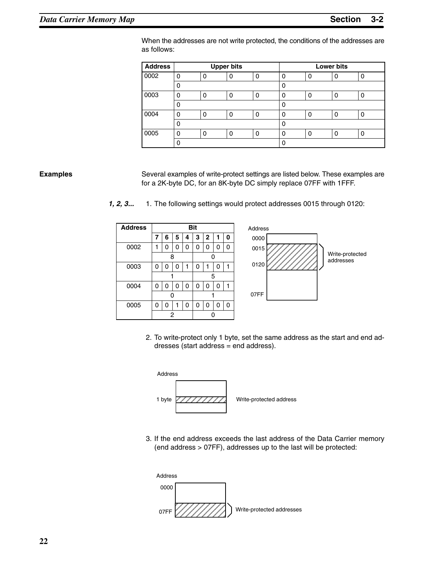When the addresses are not write protected, the conditions of the addresses are as follows:

| <b>Address</b> |   |          | <b>Upper bits</b> |   |          |   | <b>Lower bits</b> |   |
|----------------|---|----------|-------------------|---|----------|---|-------------------|---|
| 0002           | O | 0        | Ω                 | 0 | 0        | 0 | U                 | 0 |
|                | 0 |          |                   |   | 0        |   |                   |   |
| 0003           | O | 0        | 0                 | 0 | 0        | 0 | 0                 | 0 |
|                | 0 |          |                   |   | 0        |   |                   |   |
| 0004           | O | $\Omega$ | O                 | 0 | 0        | 0 | ი                 | 0 |
|                | 0 |          |                   |   | 0        |   |                   |   |
| 0005           | ŋ | O        | n                 | 0 | $\Omega$ | 0 | Ω                 | 0 |
|                |   |          |                   |   |          |   |                   |   |

**Examples** Several examples of write-protect settings are listed below. These examples are for a 2K-byte DC, for an 8K-byte DC simply replace 07FF with 1FFF.

*1, 2, 3...* 1. The following settings would protect addresses 0015 through 0120:

| <b>Address</b> |   |   |   |             | <b>Bit</b> |             |   |   |
|----------------|---|---|---|-------------|------------|-------------|---|---|
|                | 7 | 6 | 5 | 4           | 3          | $\mathbf 2$ | 1 | ი |
| 0002           | 1 | 0 | 0 | 0           | 0          | 0           | 0 | ი |
|                |   | 8 |   |             | 0          |             |   |   |
| 0003           | 0 | 0 | 0 | 1           | 0          | 1           | ი |   |
|                |   |   |   |             | 5          |             |   |   |
| 0004           | 0 | 0 | 0 | 0           | 0          | 0           | 0 |   |
|                |   | ი |   |             |            |             |   |   |
| 0005           | n | 0 | 1 | $\mathbf 0$ | $\Omega$   | $\Omega$    | 0 | ი |
|                |   | 2 |   |             |            |             |   |   |



2. To write-protect only 1 byte, set the same address as the start and end addresses (start address = end address).



3. If the end address exceeds the last address of the Data Carrier memory (end address > 07FF), addresses up to the last will be protected:

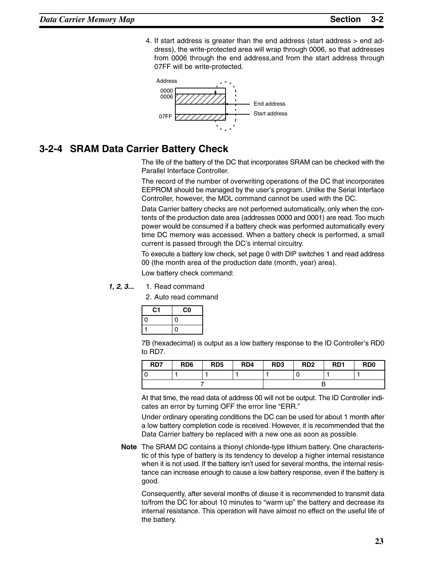4. If start address is greater than the end address (start address > end address), the write-protected area will wrap through 0006, so that addresses from 0006 through the end address,and from the start address through 07FF will be write-protected.



## **3-2-4 SRAM Data Carrier Battery Check**

The life of the battery of the DC that incorporates SRAM can be checked with the Parallel Interface Controller.

The record of the number of overwriting operations of the DC that incorporates EEPROM should be managed by the user's program. Unlike the Serial Interface Controller, however, the MDL command cannot be used with the DC.

Data Carrier battery checks are not performed automatically, only when the contents of the production date area (addresses 0000 and 0001) are read. Too much power would be consumed if a battery check was performed automatically every time DC memory was accessed. When a battery check is performed, a small current is passed through the DC's internal circuitry.

To execute a battery low check, set page 0 with DIP switches 1 and read address 00 (the month area of the production date (month, year) area).

Low battery check command:

#### **1. 2. 3...** 1. Read command

2. Auto read command

| C1       | C0 |
|----------|----|
| $\Omega$ | 0  |
|          | O  |

7B (hexadecimal) is output as a low battery response to the ID Controller's RD0 to RD7.

| RD7 | RD <sub>6</sub> | RD <sub>5</sub> | RD4 | RD <sub>3</sub> | RD <sub>2</sub> | R <sub>D</sub> 1 | R <sub>D</sub> <sub>0</sub> |
|-----|-----------------|-----------------|-----|-----------------|-----------------|------------------|-----------------------------|
|     |                 |                 |     |                 |                 |                  |                             |
|     |                 |                 |     |                 |                 |                  |                             |

At that time, the read data of address 00 will not be output. The ID Controller indicates an error by turning OFF the error line "ERR."

Under ordinary operating conditions the DC can be used for about 1 month after a low battery completion code is received. However, it is recommended that the Data Carrier battery be replaced with a new one as soon as possible.

**Note** The SRAM DC contains a thionyl chloride-type lithium battery. One characteristic of this type of battery is its tendency to develop a higher internal resistance when it is not used. If the battery isn't used for several months, the internal resistance can increase enough to cause a low battery response, even if the battery is good.

Consequently, after several months of disuse it is recommended to transmit data to/from the DC for about 10 minutes to "warm up" the battery and decrease its internal resistance. This operation will have almost no effect on the useful life of the battery.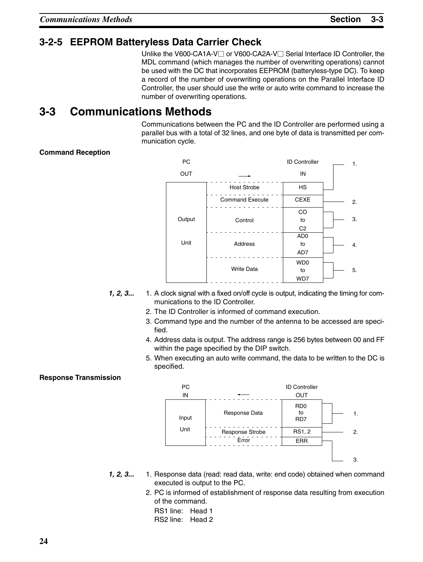# **3-2-5 EEPROM Batteryless Data Carrier Check**

Unlike the V600-CA1A-V□ or V600-CA2A-V□ Serial Interface ID Controller, the MDL command (which manages the number of overwriting operations) cannot be used with the DC that incorporates EEPROM (batteryless-type DC). To keep a record of the number of overwriting operations on the Parallel Interface ID Controller, the user should use the write or auto write command to increase the number of overwriting operations.

# **3-3 Communications Methods**

Communications between the PC and the ID Controller are performed using a parallel bus with a total of 32 lines, and one byte of data is transmitted per communication cycle.

## **Command Reception**



- **1, 2, 3...** 1. A clock signal with a fixed on/off cycle is output, indicating the timing for communications to the ID Controller.
	- 2. The ID Controller is informed of command execution.
	- 3. Command type and the number of the antenna to be accessed are specified.
	- 4. Address data is output. The address range is 256 bytes between 00 and FF within the page specified by the DIP switch.
	- 5. When executing an auto write command, the data to be written to the DC is specified.

## **Response Transmission**



- *1, 2, 3...* 1. Response data (read: read data, write: end code) obtained when command executed is output to the PC.
	- 2. PC is informed of establishment of response data resulting from execution of the command.
		- RS1 line: Head 1 RS2 line: Head 2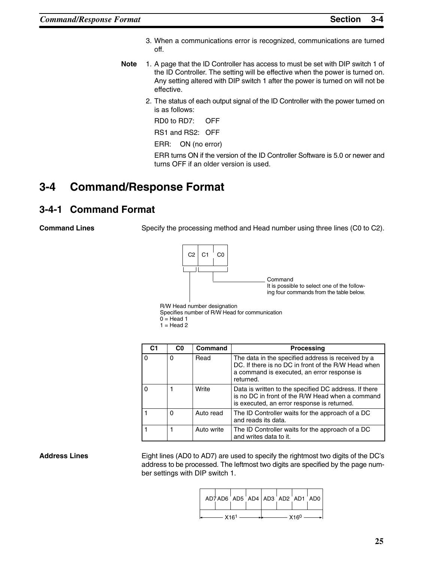- 3. When a communications error is recognized, communications are turned off.
- **Note** 1. A page that the ID Controller has access to must be set with DIP switch 1 of the ID Controller. The setting will be effective when the power is turned on. Any setting altered with DIP switch 1 after the power is turned on will not be effective.
	- 2. The status of each output signal of the ID Controller with the power turned on is as follows:

RD0 to RD7: OFF

RS1 and RS2: OFF

ERR: ON (no error)

ERR turns ON if the version of the ID Controller Software is 5.0 or newer and turns OFF if an older version is used.

# **3-4 Command/Response Format**

## **3-4-1 Command Format**

**Command Lines** Specify the processing method and Head number using three lines (C0 to C2).



R/W Head number designation

Specifies number of R/W Head for communication

 $0 =$  Head 1

|  | Head 2 |  |
|--|--------|--|
|--|--------|--|

|          | C <sub>0</sub> | Command    | <b>Processing</b>                                                                                                                                                     |
|----------|----------------|------------|-----------------------------------------------------------------------------------------------------------------------------------------------------------------------|
| $\Omega$ | 0              | Read       | The data in the specified address is received by a<br>DC. If there is no DC in front of the R/W Head when<br>a command is executed, an error response is<br>returned. |
| $\Omega$ |                | Write      | Data is written to the specified DC address. If there<br>is no DC in front of the R/W Head when a command<br>is executed, an error response is returned.              |
|          | $\Omega$       | Auto read  | The ID Controller waits for the approach of a DC<br>and reads its data.                                                                                               |
|          |                | Auto write | The ID Controller waits for the approach of a DC<br>and writes data to it.                                                                                            |

**Address Lines** Eight lines (AD0 to AD7) are used to specify the rightmost two digits of the DC's address to be processed. The leftmost two digits are specified by the page number settings with DIP switch 1.

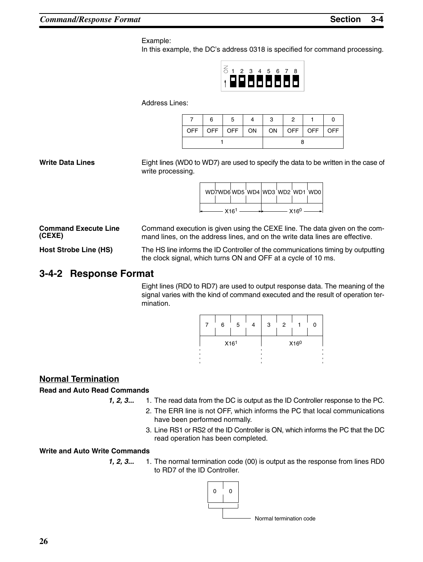#### Example:

In this example, the DC's address 0318 is specified for command processing.



Address Lines:

|  | 6 | 5                                                                                     |  | 3 |  |  |
|--|---|---------------------------------------------------------------------------------------|--|---|--|--|
|  |   | OFF $\vert$ OFF $\vert$ OFF $\vert$ ON $\vert$ ON $\vert$ OFF $\vert$ OFF $\vert$ OFF |  |   |  |  |
|  |   |                                                                                       |  |   |  |  |

Write Data Lines **Eight lines (WD0 to WD7)** are used to specify the data to be written in the case of write processing.

|  |                  |  |                  | WD7WD6 WD5 WD4 WD3 WD2 WD1 WD0 |
|--|------------------|--|------------------|--------------------------------|
|  | X16 <sup>1</sup> |  | X16 <sup>0</sup> |                                |

| <b>Command Execute Line</b> | Command execution is given using the CEXE line. The data given on the com-       |
|-----------------------------|----------------------------------------------------------------------------------|
| (CEXE)                      | mand lines, on the address lines, and on the write data lines are effective.     |
| Host Strobe Line (HS)       | The HS line informs the ID Controller of the communications timing by outputting |

**Host Strobe Line (HS)** The HS line informs the ID Controller of the communications timing by outputting the clock signal, which turns ON and OFF at a cycle of 10 ms.

## **3-4-2 Response Format**

Eight lines (RD0 to RD7) are used to output response data. The meaning of the signal varies with the kind of command executed and the result of operation termination.

|                  | 6 | 5 |  | 3 | 2 |                  |  |
|------------------|---|---|--|---|---|------------------|--|
| X16 <sup>1</sup> |   |   |  |   |   | X16 <sup>0</sup> |  |
|                  |   |   |  |   |   |                  |  |

## **Normal Termination**

## **Read and Auto Read Commands**

**1, 2, 3...** 1. The read data from the DC is output as the ID Controller response to the PC.

- 2. The ERR line is not OFF, which informs the PC that local communications have been performed normally.
- 3. Line RS1 or RS2 of the ID Controller is ON, which informs the PC that the DC read operation has been completed.

## **Write and Auto Write Commands**

*1, 2, 3...* 1. The normal termination code (00) is output as the response from lines RD0 to RD7 of the ID Controller.

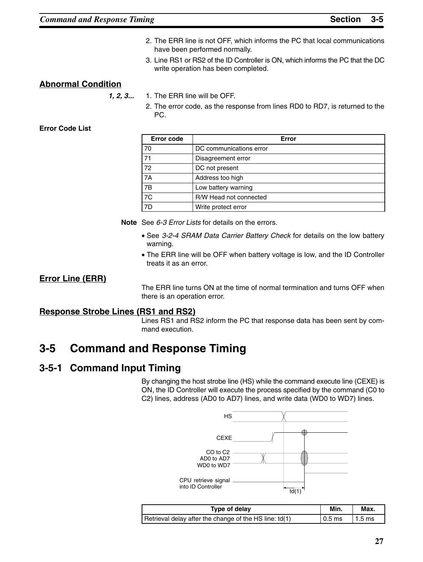- 2. The ERR line is not OFF, which informs the PC that local communications have been performed normally.
- 3. Line RS1 or RS2 of the ID Controller is ON, which informs the PC that the DC write operation has been completed.

## **Abnormal Condition**

*1, 2, 3...* 1. The ERR line will be OFF.

2. The error code, as the response from lines RD0 to RD7, is returned to the PC.

## **Error Code List**

| <b>Error code</b> | Error                   |
|-------------------|-------------------------|
| 70                | DC communications error |
| 71                | Disagreement error      |
| 72                | DC not present          |
| <b>7A</b>         | Address too high        |
| 7B                | Low battery warning     |
| $\overline{7C}$   | R/W Head not connected  |
| 7D                | Write protect error     |

**Note** See *6-3 Error Lists* for details on the errors.

- See *3-2-4 SRAM Data Carrier Battery Check* for details on the low battery warning.
- The ERR line will be OFF when battery voltage is low, and the ID Controller treats it as an error.

## **Error Line (ERR)**

The ERR line turns ON at the time of normal termination and turns OFF when there is an operation error.

## **Response Strobe Lines (RS1 and RS2)**

Lines RS1 and RS2 inform the PC that response data has been sent by command execution.

# **3-5 Command and Response Timing**

## **3-5-1 Command Input Timing**

By changing the host strobe line (HS) while the command execute line (CEXE) is ON, the ID Controller will execute the process specified by the command (C0 to C2) lines, address (AD0 to AD7) lines, and write data (WD0 to WD7) lines.



| Type of delav                                          | Min.     | Max.     |
|--------------------------------------------------------|----------|----------|
| Retrieval delay after the change of the HS line: td(1) | $0.5$ ms | $1.5$ ms |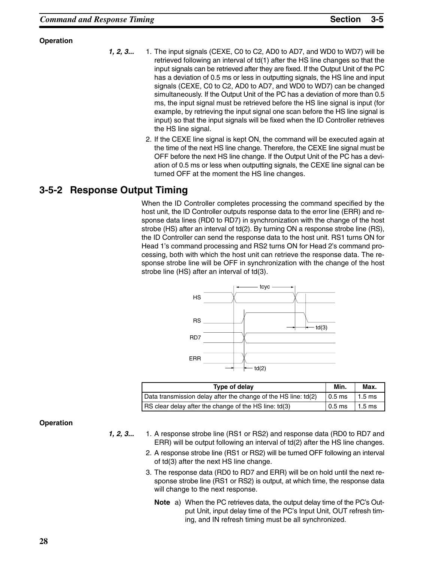## **Operation**

- *1, 2, 3...* 1. The input signals (CEXE, C0 to C2, AD0 to AD7, and WD0 to WD7) will be retrieved following an interval of td(1) after the HS line changes so that the input signals can be retrieved after they are fixed. If the Output Unit of the PC has a deviation of 0.5 ms or less in outputting signals, the HS line and input signals (CEXE, C0 to C2, AD0 to AD7, and WD0 to WD7) can be changed simultaneously. If the Output Unit of the PC has a deviation of more than 0.5 ms, the input signal must be retrieved before the HS line signal is input (for example, by retrieving the input signal one scan before the HS line signal is input) so that the input signals will be fixed when the ID Controller retrieves the HS line signal.
	- 2. If the CEXE line signal is kept ON, the command will be executed again at the time of the next HS line change. Therefore, the CEXE line signal must be OFF before the next HS line change. If the Output Unit of the PC has a deviation of 0.5 ms or less when outputting signals, the CEXE line signal can be turned OFF at the moment the HS line changes.

## **3-5-2 Response Output Timing**

When the ID Controller completes processing the command specified by the host unit, the ID Controller outputs response data to the error line (ERR) and response data lines (RD0 to RD7) in synchronization with the change of the host strobe (HS) after an interval of td(2). By turning ON a response strobe line (RS), the ID Controller can send the response data to the host unit. RS1 turns ON for Head 1's command processing and RS2 turns ON for Head 2's command processing, both with which the host unit can retrieve the response data. The response strobe line will be OFF in synchronization with the change of the host strobe line (HS) after an interval of td(3).



| Type of delay                                                  | Min.     | Max.             |
|----------------------------------------------------------------|----------|------------------|
| Data transmission delay after the change of the HS line: td(2) | $0.5$ ms | $1.5 \text{ ms}$ |
| RS clear delay after the change of the HS line: td(3)          | $0.5$ ms | $1.5 \text{ ms}$ |

#### **Operation**

- *1, 2, 3...* 1. A response strobe line (RS1 or RS2) and response data (RD0 to RD7 and ERR) will be output following an interval of td(2) after the HS line changes.
	- 2. A response strobe line (RS1 or RS2) will be turned OFF following an interval of td(3) after the next HS line change.
	- 3. The response data (RD0 to RD7 and ERR) will be on hold until the next response strobe line (RS1 or RS2) is output, at which time, the response data will change to the next response.
		- **Note** a) When the PC retrieves data, the output delay time of the PC's Output Unit, input delay time of the PC's Input Unit, OUT refresh timing, and IN refresh timing must be all synchronized.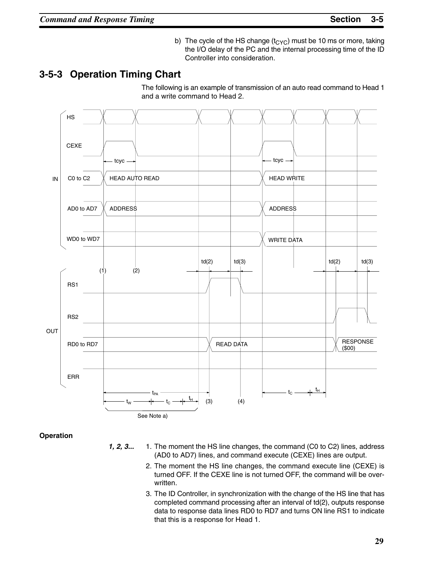b) The cycle of the HS change  $(t_{CYC})$  must be 10 ms or more, taking the I/O delay of the PC and the internal processing time of the ID Controller into consideration.

## **3-5-3 Operation Timing Chart**

The following is an example of transmission of an auto read command to Head 1 and a write command to Head 2.



**Operation**

- *1, 2, 3...* 1. The moment the HS line changes, the command (C0 to C2) lines, address (AD0 to AD7) lines, and command execute (CEXE) lines are output.
	- 2. The moment the HS line changes, the command execute line (CEXE) is turned OFF. If the CEXE line is not turned OFF, the command will be overwritten.
	- 3. The ID Controller, in synchronization with the change of the HS line that has completed command processing after an interval of td(2), outputs response data to response data lines RD0 to RD7 and turns ON line RS1 to indicate that this is a response for Head 1.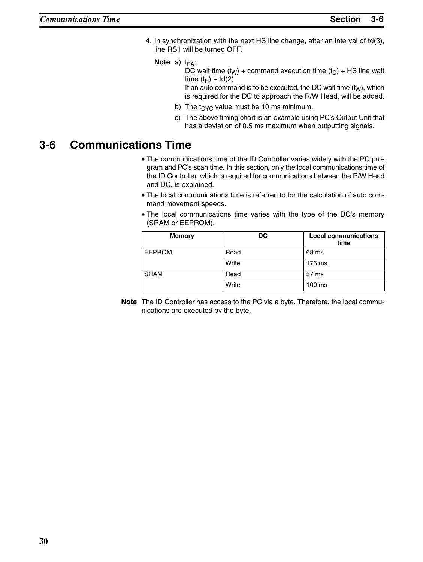- 4. In synchronization with the next HS line change, after an interval of td(3), line RS1 will be turned OFF.
	- **Note** a) t<sub>PA</sub>:

DC wait time  $(t_W)$  + command execution time  $(t_C)$  + HS line wait time  $(t_H)$  + td(2)

If an auto command is to be executed, the DC wait time  $(t<sub>W</sub>)$ , which is required for the DC to approach the R/W Head, will be added.

- b) The  $t_{CYC}$  value must be 10 ms minimum.
- c) The above timing chart is an example using PC's Output Unit that has a deviation of 0.5 ms maximum when outputting signals.

# **3-6 Communications Time**

- The communications time of the ID Controller varies widely with the PC program and PC's scan time. In this section, only the local communications time of the ID Controller, which is required for communications between the R/W Head and DC, is explained.
- The local communications time is referred to for the calculation of auto command movement speeds.
- The local communications time varies with the type of the DC's memory (SRAM or EEPROM).

| <b>Memory</b> | <b>DC</b> | <b>Local communications</b><br>time |  |
|---------------|-----------|-------------------------------------|--|
| <b>EEPROM</b> | Read      | 68 ms                               |  |
|               | Write     | 175 ms                              |  |
| <b>SRAM</b>   | Read      | 57 ms                               |  |
|               | Write     | $100$ ms                            |  |

**Note** The ID Controller has access to the PC via a byte. Therefore, the local communications are executed by the byte.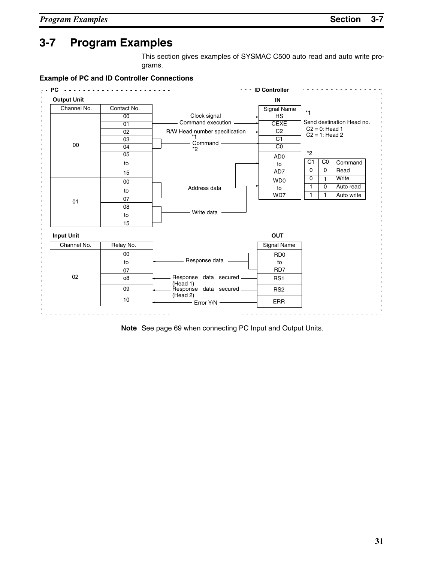This section gives examples of SYSMAC C500 auto read and auto write programs.

**Example of PC and ID Controller Connections**



**Note** See page 69 when connecting PC Input and Output Units.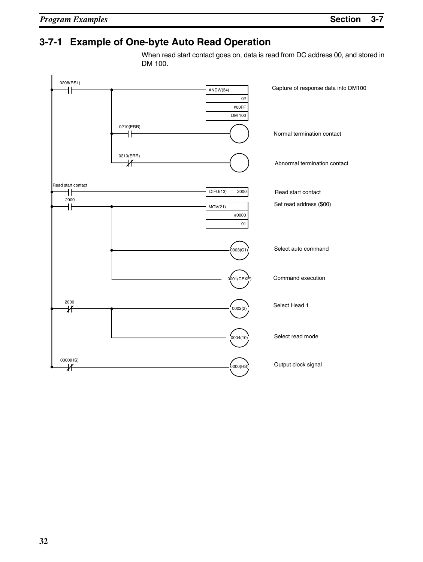# **3-7-1 Example of One-byte Auto Read Operation**

When read start contact goes on, data is read from DC address 00, and stored in DM 100.

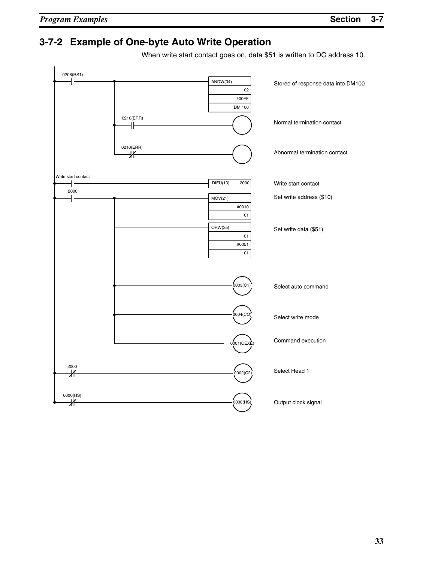## **3-7-2 Example of One-byte Auto Write Operation**

When write start contact goes on, data \$51 is written to DC address 10.

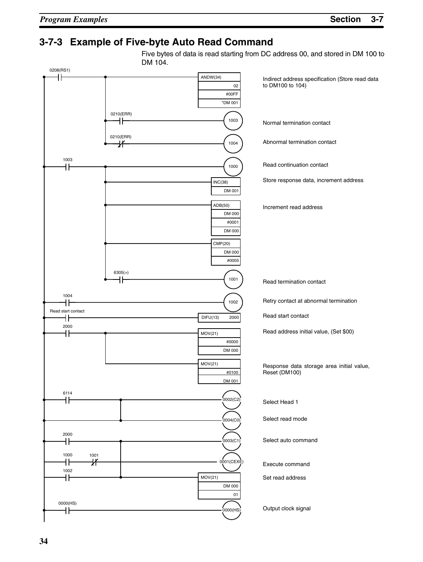## **3-7-3 Example of Five-byte Auto Read Command**

Five bytes of data is read starting from DC address 00, and stored in DM 100 to DM 104.

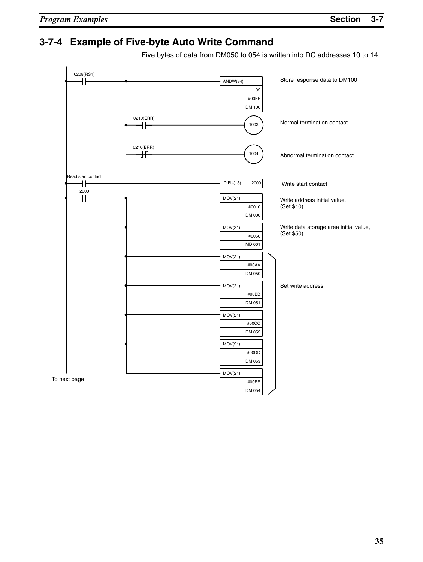To

# **3-7-4 Example of Five-byte Auto Write Command**

Five bytes of data from DM050 to 054 is written into DC addresses 10 to 14.

| 0208(RS1)<br>╫          |                 | ANDW(34)<br>02<br>#00FF    | Store response data to DM100                         |
|-------------------------|-----------------|----------------------------|------------------------------------------------------|
|                         | 0210(ERR)<br>łŀ | DM 100<br>1003             | Normal termination contact                           |
|                         | 0210(ERR)<br>氺  | 1004                       | Abnormal termination contact                         |
| Read start contact<br>╢ |                 | DIFU(13)<br>2000           | Write start contact                                  |
| 2000<br>ł۱              |                 | MOV(21)<br>#0010<br>DM 000 | Write address initial value,<br>(Set \$10)           |
|                         |                 | MOV(21)<br>#0050<br>MD 001 | Write data storage area initial value,<br>(Set \$50) |
|                         |                 | MOV(21)<br>#00AA<br>DM 050 |                                                      |
|                         |                 | MOV(21)<br>#00BB<br>DM 051 | Set write address                                    |
|                         |                 | MOV(21)<br>#00CC<br>DM 052 |                                                      |
|                         |                 | MOV(21)<br>#00DD<br>DM 053 |                                                      |
| next page               |                 | MOV(21)<br>#00EE<br>DM 054 |                                                      |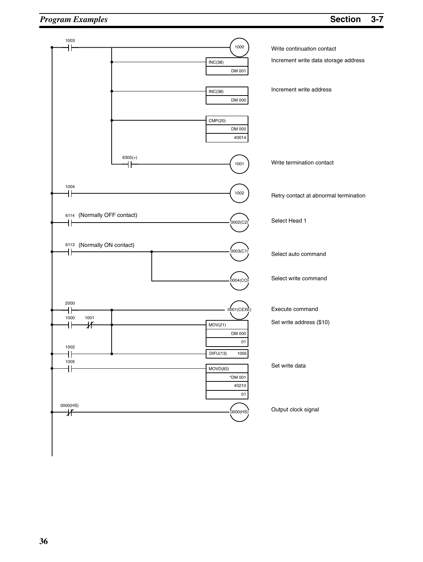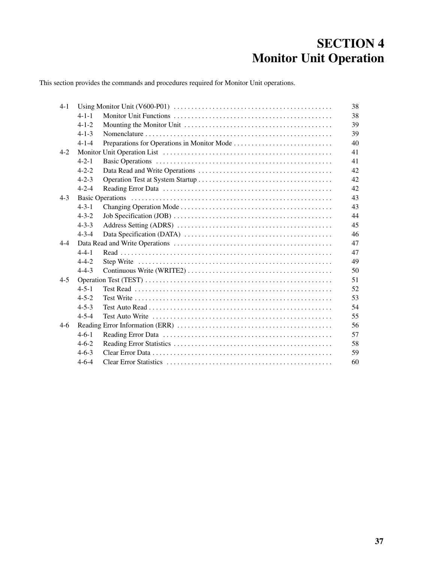# **SECTION 4 Monitor Unit Operation**

This section provides the commands and procedures required for Monitor Unit operations.

| $4-1$   |             | 38 |
|---------|-------------|----|
|         | $4 - 1 - 1$ | 38 |
|         | $4 - 1 - 2$ | 39 |
|         | $4 - 1 - 3$ | 39 |
|         | $4 - 1 - 4$ | 40 |
| $4 - 2$ |             | 41 |
|         | $4 - 2 - 1$ | 41 |
|         | $4 - 2 - 2$ | 42 |
|         | $4 - 2 - 3$ | 42 |
|         | $4 - 2 - 4$ | 42 |
| $4 - 3$ |             | 43 |
|         | $4 - 3 - 1$ | 43 |
|         | $4 - 3 - 2$ | 44 |
|         | $4 - 3 - 3$ | 45 |
|         | $4 - 3 - 4$ | 46 |
| $4 - 4$ |             | 47 |
|         | $4 - 4 - 1$ | 47 |
|         | $4 - 4 - 2$ | 49 |
|         | $4 - 4 - 3$ | 50 |
| $4 - 5$ |             | 51 |
|         | $4 - 5 - 1$ | 52 |
|         | $4 - 5 - 2$ | 53 |
|         | $4 - 5 - 3$ | 54 |
|         | $4 - 5 - 4$ | 55 |
| $4-6$   |             | 56 |
|         | $4-6-1$     | 57 |
|         | $4-6-2$     | 58 |
|         | $4-6-3$     | 59 |
|         | $4-6-4$     | 60 |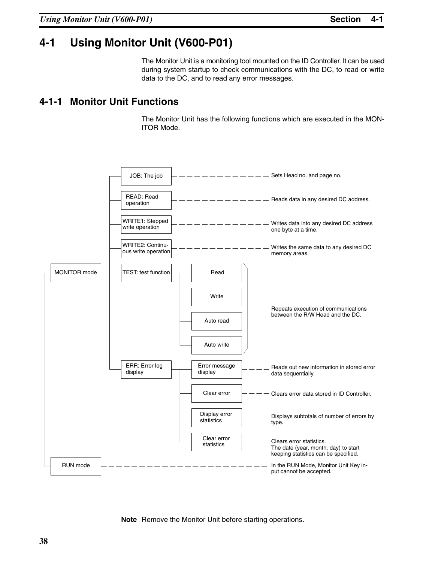# **4-1 Using Monitor Unit (V600-P01)**

The Monitor Unit is a monitoring tool mounted on the ID Controller. It can be used during system startup to check communications with the DC, to read or write data to the DC, and to read any error messages.

#### **4-1-1 Monitor Unit Functions**

The Monitor Unit has the following functions which are executed in the MON-ITOR Mode.



**Note** Remove the Monitor Unit before starting operations.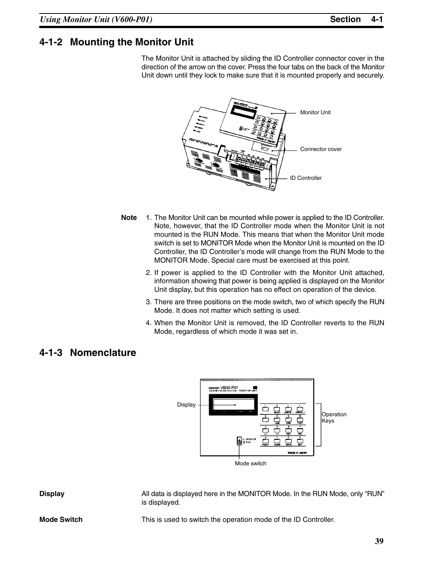## **4-1-2 Mounting the Monitor Unit**

The Monitor Unit is attached by sliding the ID Controller connector cover in the direction of the arrow on the cover. Press the four tabs on the back of the Monitor Unit down until they lock to make sure that it is mounted properly and securely.



- **Note** 1. The Monitor Unit can be mounted while power is applied to the ID Controller. Note, however, that the ID Controller mode when the Monitor Unit is not mounted is the RUN Mode. This means that when the Monitor Unit mode switch is set to MONITOR Mode when the Monitor Unit is mounted on the ID Controller, the ID Controller's mode will change from the RUN Mode to the MONITOR Mode. Special care must be exercised at this point.
	- 2. If power is applied to the ID Controller with the Monitor Unit attached, information showing that power is being applied is displayed on the Monitor Unit display, but this operation has no effect on operation of the device.
	- 3. There are three positions on the mode switch, two of which specify the RUN Mode. It does not matter which setting is used.
	- 4. When the Monitor Unit is removed, the ID Controller reverts to the RUN Mode, regardless of which mode it was set in.

#### **4-1-3 Nomenclature**



**Display** All data is displayed here in the MONITOR Mode. In the RUN Mode, only "RUN" is displayed.

**Mode Switch** This is used to switch the operation mode of the ID Controller.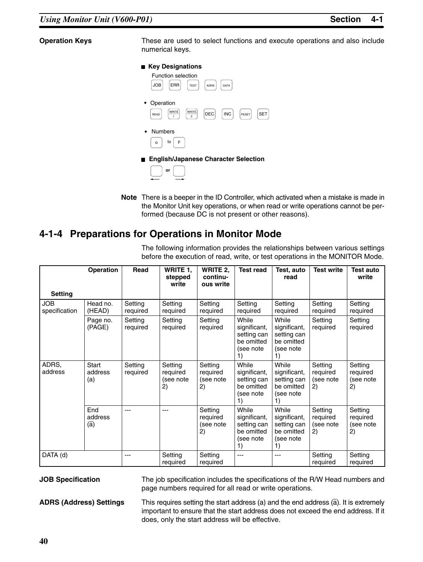**Operation Keys** These are used to select functions and execute operations and also include numerical keys.

#### **Key Designations**



**Note** There is a beeper in the ID Controller, which activated when a mistake is made in the Monitor Unit key operations, or when read or write operations cannot be performed (because DC is not present or other reasons).

### **4-1-4 Preparations for Operations in Monitor Mode**

The following information provides the relationships between various settings before the execution of read, write, or test operations in the MONITOR Mode.

|                             | <b>Operation</b>               | Read                | WRITE 1,<br>stepped<br>write           | WRITE 2,<br>continu-<br>ous write      | <b>Test read</b>                                                      | Test, auto<br>read                                                    | <b>Test write</b>                      | <b>Test auto</b><br>write              |
|-----------------------------|--------------------------------|---------------------|----------------------------------------|----------------------------------------|-----------------------------------------------------------------------|-----------------------------------------------------------------------|----------------------------------------|----------------------------------------|
| <b>Setting</b>              |                                |                     |                                        |                                        |                                                                       |                                                                       |                                        |                                        |
| <b>JOB</b><br>specification | Head no.<br>(HEAD)             | Setting<br>required | Setting<br>required                    | Setting<br>required                    | Setting<br>required                                                   | Setting<br>required                                                   | Setting<br>required                    | Setting<br>required                    |
|                             | Page no.<br>(PAGE)             | Setting<br>required | Setting<br>required                    | Setting<br>required                    | While<br>significant,<br>setting can<br>be omitted<br>(see note<br>1) | While<br>significant,<br>setting can<br>be omitted<br>(see note<br>1) | Setting<br>required                    | Setting<br>required                    |
| ADRS,<br>address            | <b>Start</b><br>address<br>(a) | Setting<br>required | Setting<br>required<br>(see note<br>2) | Setting<br>required<br>(see note<br>2) | While<br>significant,<br>setting can<br>be omitted<br>(see note<br>1) | While<br>significant,<br>setting can<br>be omitted<br>(see note<br>1) | Setting<br>required<br>(see note<br>2) | Setting<br>required<br>(see note<br>2) |
|                             | End<br>address<br>(a)          |                     | ---                                    | Setting<br>required<br>(see note<br>2) | While<br>significant,<br>setting can<br>be omitted<br>(see note<br>1) | While<br>significant,<br>setting can<br>be omitted<br>(see note<br>1) | Setting<br>required<br>(see note<br>2) | Setting<br>required<br>(see note<br>2) |
| DATA (d)                    |                                | $---$               | Setting<br>required                    | Setting<br>required                    | $---$                                                                 | $---$                                                                 | Setting<br>required                    | Setting<br>required                    |

**JOB Specification** The job specification includes the specifications of the R/W Head numbers and page numbers required for all read or write operations.

**ADRS (Address) Settings** This requires setting the start address (a) and the end address (a). It is extremely important to ensure that the start address does not exceed the end address. If it does, only the start address will be effective.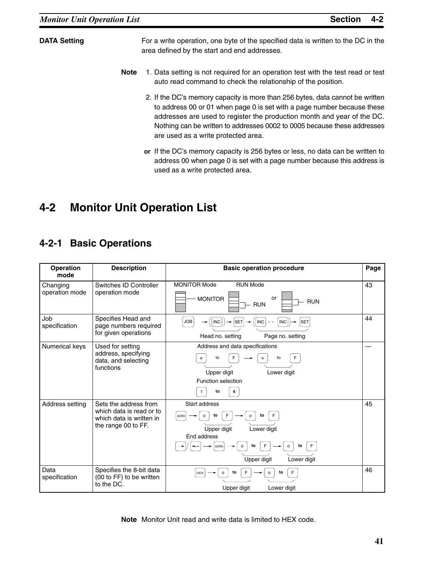**DATA Setting** For a write operation, one byte of the specified data is written to the DC in the area defined by the start and end addresses.

- **Note** 1. Data setting is not required for an operation test with the test read or test auto read command to check the relationship of the position.
	- 2. If the DC's memory capacity is more than 256 bytes, data cannot be written to address 00 or 01 when page 0 is set with a page number because these addresses are used to register the production month and year of the DC. Nothing can be written to addresses 0002 to 0005 because these addresses are used as a write protected area.
	- **or** If the DC's memory capacity is 256 bytes or less, no data can be written to address 00 when page 0 is set with a page number because this address is used as a write protected area.

# **4-2 Monitor Unit Operation List**

## **4-2-1 Basic Operations**

| <b>Operation</b><br>mode   | <b>Description</b>                                                                                   | <b>Basic operation procedure</b>                                                                                                                 | Page |
|----------------------------|------------------------------------------------------------------------------------------------------|--------------------------------------------------------------------------------------------------------------------------------------------------|------|
| Changing<br>operation mode | Switches ID Controller<br>operation mode                                                             | • MONITOR Mode<br>• RUN Mode<br><b>MONITOR</b><br>or<br><b>RUN</b><br><b>RUN</b>                                                                 | 43   |
| Job<br>specification       | Specifies Head and<br>page numbers required<br>for given operations                                  | <b>INC</b><br><b>SET</b><br><b>JOB</b><br><b>INC</b><br><b>INC</b><br><b>SET</b><br>-<br>Head no. setting<br>Page no. setting                    | 44   |
| Numerical keys             | Used for setting<br>address, specifying<br>data, and selecting<br>functions                          | • Address and data specifications<br>to<br>F<br>to<br>$\Omega$<br>Upper digit<br>Lower digit<br>• Function selection<br>to<br>4                  | ---  |
| Address setting            | Sets the address from<br>which data is read or to<br>which data is written in<br>the range 00 to FF. | Start address<br>to<br>to<br>ADRS<br>Upper digit<br>Lower digit<br>End address<br>F<br>to<br>to<br>ADRS<br>$\circ$<br>Upper digit<br>Lower digit | 45   |
| Data<br>specification      | Specifies the 8-bit data<br>(00 to FF) to be written<br>to the DC.                                   | to<br>F<br>to<br><b>DATA</b><br>$\circ$<br>$\circ$<br>Upper digit<br>Lower digit                                                                 | 46   |

**Note** Monitor Unit read and write data is limited to HEX code.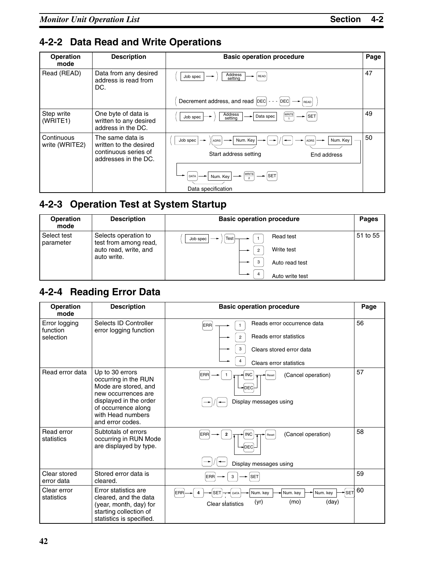# **4-2-2 Data Read and Write Operations**

| <b>Operation</b><br>mode     | <b>Description</b>                                                                         | <b>Basic operation procedure</b>                                                 | Page |
|------------------------------|--------------------------------------------------------------------------------------------|----------------------------------------------------------------------------------|------|
| Read (READ)                  | Data from any desired<br>address is read from<br>DC.                                       | Address<br>Job spec<br>READ<br>setting                                           | 47   |
|                              |                                                                                            | Decrement address, and read  DEC <br>DEC<br><b>READ</b>                          |      |
| Step write<br>(WRITE1)       | One byte of data is<br>written to any desired<br>address in the DC.                        | Address<br>WRITE<br><b>SET</b><br>Data spec<br>Job spec<br>setting               | 49   |
| Continuous<br>write (WRITE2) | The same data is<br>written to the desired<br>continuous series of<br>addresses in the DC. | Num. Key<br>Num. Key<br>Job spec<br>ADRS<br>Start address setting<br>End address | 50   |
|                              |                                                                                            | WRITE<br><b>SET</b><br>Num. Key<br>DATA<br>Data specification                    |      |

# **4-2-3 Operation Test at System Startup**

| Operation<br>mode        | <b>Description</b>                            | <b>Basic operation procedure</b> | <b>Pages</b> |
|--------------------------|-----------------------------------------------|----------------------------------|--------------|
| Select test<br>parameter | Selects operation to<br>test from among read, | Read test<br>Test<br>Job spec    | 51 to 55     |
|                          | auto read, write, and<br>auto write.          | Write test<br>$\overline{2}$     |              |
|                          |                                               | 3<br>Auto read test              |              |
|                          |                                               | Auto write test                  |              |

# **4-2-4 Reading Error Data**

| <b>Operation</b><br>mode               | <b>Description</b>                                                                                                                                                               | <b>Basic operation procedure</b>                                                                                           | Page |
|----------------------------------------|----------------------------------------------------------------------------------------------------------------------------------------------------------------------------------|----------------------------------------------------------------------------------------------------------------------------|------|
| Error logging<br>function<br>selection | Selects ID Controller<br>error logging function                                                                                                                                  | Reads error occurrence data<br><b>ERR</b><br>Reads error statistics<br>Clears stored error data<br>Clears error statistics | 56   |
| Read error data                        | Up to 30 errors<br>occurring in the RUN<br>Mode are stored, and<br>new occurrences are<br>displayed in the order<br>of occurrence along<br>with Head numbers<br>and error codes. | <b>INC</b><br>(Cancel operation)<br><b>ERR</b><br>Reset<br>DEC<br>Display messages using                                   | 57   |
| Read error<br>statistics               | Subtotals of errors<br>occurring in RUN Mode<br>are displayed by type.                                                                                                           | (Cancel operation)<br>$\overline{2}$<br><b>INC</b><br>ERR<br>Reset<br><b>DEC</b><br>Display messages using                 | 58   |
| Clear stored<br>error data             | Stored error data is<br>cleared.                                                                                                                                                 | <b>SET</b><br><b>ERR</b><br>3                                                                                              | 59   |
| Clear error<br>statistics              | Error statistics are<br>cleared, and the data<br>(year, month, day) for<br>starting collection of<br>statistics is specified.                                                    | ∽∣s∈т<br><b>ERR</b><br><b>SET</b><br>Num. key<br>Num. key<br>Num. key<br>DATA<br>(day)<br>(yr)<br>(mo)<br>Clear statistics | 60   |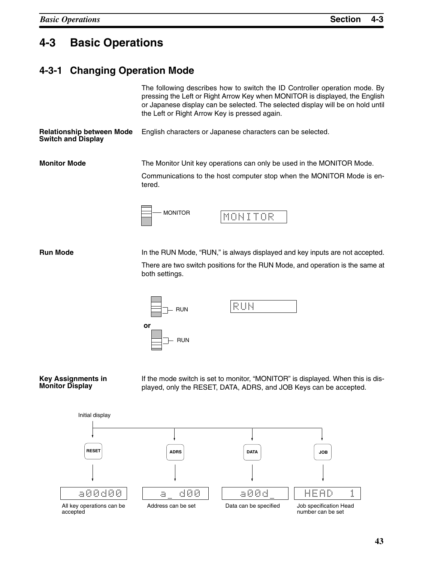# **4-3 Basic Operations**

#### **4-3-1 Changing Operation Mode**

|                                                               | The following describes how to switch the ID Controller operation mode. By<br>pressing the Left or Right Arrow Key when MONITOR is displayed, the English<br>or Japanese display can be selected. The selected display will be on hold until<br>the Left or Right Arrow Key is pressed again. |  |  |  |
|---------------------------------------------------------------|-----------------------------------------------------------------------------------------------------------------------------------------------------------------------------------------------------------------------------------------------------------------------------------------------|--|--|--|
| <b>Relationship between Mode</b><br><b>Switch and Display</b> | English characters or Japanese characters can be selected.                                                                                                                                                                                                                                    |  |  |  |
| <b>Monitor Mode</b>                                           | The Monitor Unit key operations can only be used in the MONITOR Mode.<br>Communications to the host computer stop when the MONITOR Mode is en-<br>tered.                                                                                                                                      |  |  |  |
|                                                               | <b>MONITOR</b><br>MONITOR                                                                                                                                                                                                                                                                     |  |  |  |

**Run Mode In the RUN Mode, "RUN," is always displayed and key inputs are not accepted.** 

There are two switch positions for the RUN Mode, and operation is the same at both settings.



#### **Key Assignments in Monitor Display**

If the mode switch is set to monitor, "MONITOR" is displayed. When this is displayed, only the RESET, DATA, ADRS, and JOB Keys can be accepted.



accepted

number can be set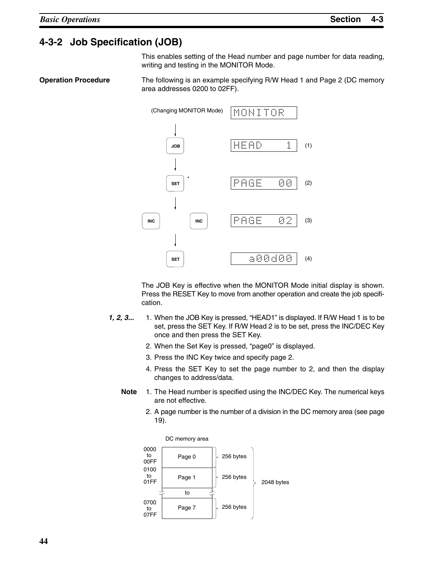### **4-3-2 Job Specification (JOB)**

This enables setting of the Head number and page number for data reading, writing and testing in the MONITOR Mode.

**Operation Procedure** The following is an example specifying R/W Head 1 and Page 2 (DC memory area addresses 0200 to 02FF).



The JOB Key is effective when the MONITOR Mode initial display is shown. Press the RESET Key to move from another operation and create the job specification.

- *1, 2, 3...* 1. When the JOB Key is pressed, "HEAD1" is displayed. If R/W Head 1 is to be set, press the SET Key. If R/W Head 2 is to be set, press the INC/DEC Key once and then press the SET Key.
	- 2. When the Set Key is pressed, "page0" is displayed.
	- 3. Press the INC Key twice and specify page 2.
	- 4. Press the SET Key to set the page number to 2, and then the display changes to address/data.
	- **Note** 1. The Head number is specified using the INC/DEC Key. The numerical keys are not effective.
		- 2. A page number is the number of a division in the DC memory area (see page 19).

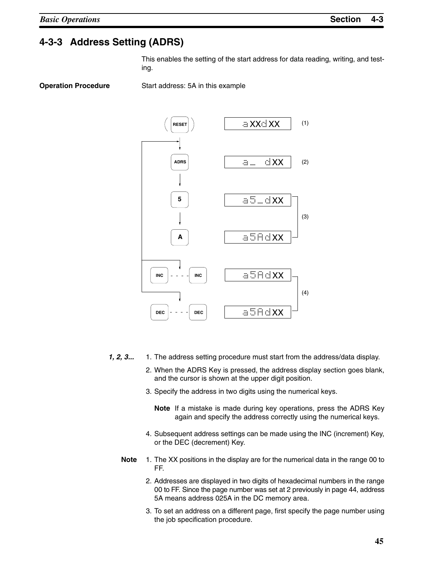## **4-3-3 Address Setting (ADRS)**

This enables the setting of the start address for data reading, writing, and testing.

**Operation Procedure** Start address: 5A in this example



- *1, 2, 3...* 1. The address setting procedure must start from the address/data display.
	- 2. When the ADRS Key is pressed, the address display section goes blank, and the cursor is shown at the upper digit position.
	- 3. Specify the address in two digits using the numerical keys.
		- **Note** If a mistake is made during key operations, press the ADRS Key again and specify the address correctly using the numerical keys.
	- 4. Subsequent address settings can be made using the INC (increment) Key, or the DEC (decrement) Key.
	- **Note** 1. The XX positions in the display are for the numerical data in the range 00 to FF.
		- 2. Addresses are displayed in two digits of hexadecimal numbers in the range 00 to FF. Since the page number was set at 2 previously in page 44, address 5A means address 025A in the DC memory area.
		- 3. To set an address on a different page, first specify the page number using the job specification procedure.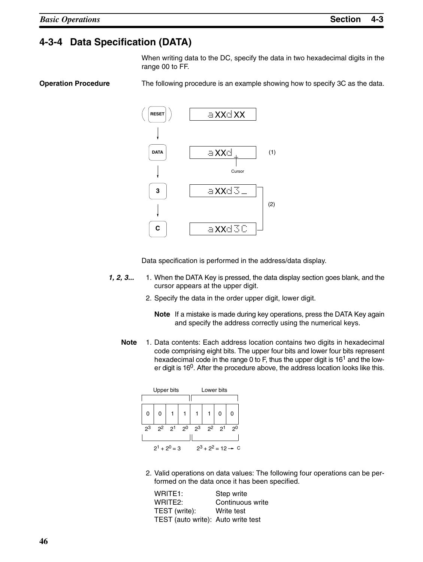# **4-3-4 Data Specification (DATA)**

When writing data to the DC, specify the data in two hexadecimal digits in the range 00 to FF.

**Operation Procedure** The following procedure is an example showing how to specify 3C as the data.



Data specification is performed in the address/data display.

- *1, 2, 3...* 1. When the DATA Key is pressed, the data display section goes blank, and the cursor appears at the upper digit.
	- 2. Specify the data in the order upper digit, lower digit.
		- **Note** If a mistake is made during key operations, press the DATA Key again and specify the address correctly using the numerical keys.
	- **Note** 1. Data contents: Each address location contains two digits in hexadecimal code comprising eight bits. The upper four bits and lower four bits represent hexadecimal code in the range 0 to F, thus the upper digit is 16<sup>1</sup> and the lower digit is 160. After the procedure above, the address location looks like this.



2. Valid operations on data values: The following four operations can be performed on the data once it has been specified.

| WRITE <sub>1</sub> :               | Step write       |
|------------------------------------|------------------|
| WRITE <sub>2:</sub>                | Continuous write |
| TEST (write):                      | Write test       |
| TEST (auto write): Auto write test |                  |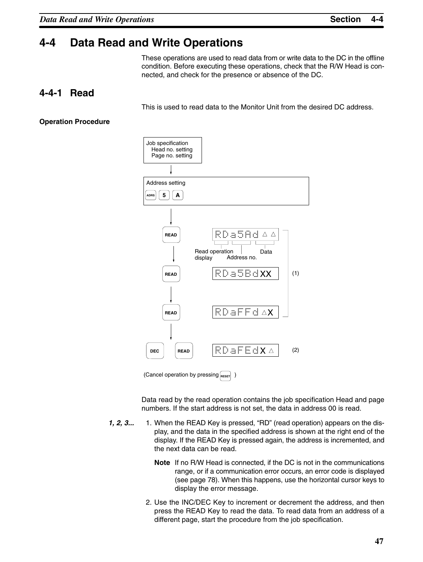## **4-4 Data Read and Write Operations**

These operations are used to read data from or write data to the DC in the offline condition. Before executing these operations, check that the R/W Head is connected, and check for the presence or absence of the DC.

#### **4-4-1 Read**

This is used to read data to the Monitor Unit from the desired DC address.

#### **Operation Procedure**



Data read by the read operation contains the job specification Head and page numbers. If the start address is not set, the data in address 00 is read.

- **1, 2, 3...** 1. When the READ Key is pressed, "RD" (read operation) appears on the display, and the data in the specified address is shown at the right end of the display. If the READ Key is pressed again, the address is incremented, and the next data can be read.
	- **Note** If no R/W Head is connected, if the DC is not in the communications range, or if a communication error occurs, an error code is displayed (see page 78). When this happens, use the horizontal cursor keys to display the error message.
	- 2. Use the INC/DEC Key to increment or decrement the address, and then press the READ Key to read the data. To read data from an address of a different page, start the procedure from the job specification.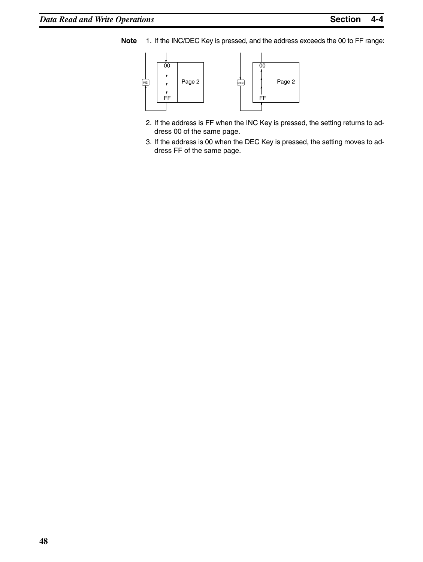**Note** 1. If the INC/DEC Key is pressed, and the address exceeds the 00 to FF range:



- 2. If the address is FF when the INC Key is pressed, the setting returns to address 00 of the same page.
- 3. If the address is 00 when the DEC Key is pressed, the setting moves to address FF of the same page.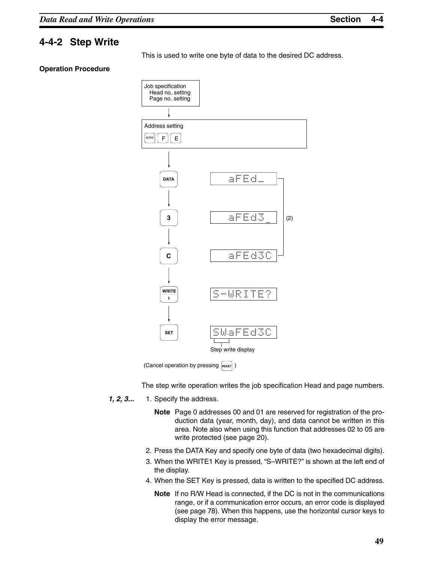### **4-4-2 Step Write**

This is used to write one byte of data to the desired DC address.

#### **Operation Procedure**



(Cancel operation by pressing RESET)

The step write operation writes the job specification Head and page numbers.

- *1, 2, 3...* 1. Specify the address.
	- **Note** Page 0 addresses 00 and 01 are reserved for registration of the production data (year, month, day), and data cannot be written in this area. Note also when using this function that addresses 02 to 05 are write protected (see page 20).
	- 2. Press the DATA Key and specify one byte of data (two hexadecimal digits).
	- 3. When the WRITE1 Key is pressed, "S–WRITE?" is shown at the left end of the display.
	- 4. When the SET Key is pressed, data is written to the specified DC address.
		- **Note** If no R/W Head is connected, if the DC is not in the communications range, or if a communication error occurs, an error code is displayed (see page 78). When this happens, use the horizontal cursor keys to display the error message.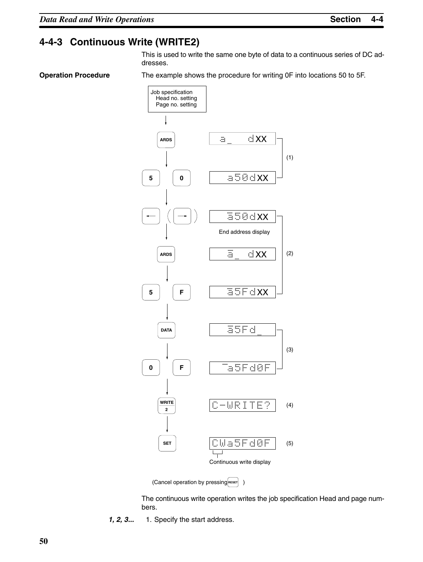## **4-4-3 Continuous Write (WRITE2)**

This is used to write the same one byte of data to a continuous series of DC addresses.

**Operation Procedure** The example shows the procedure for writing 0F into locations 50 to 5F.



(Cancel operation by pressing RESET) )

The continuous write operation writes the job specification Head and page numbers.

*1, 2, 3...* 1. Specify the start address.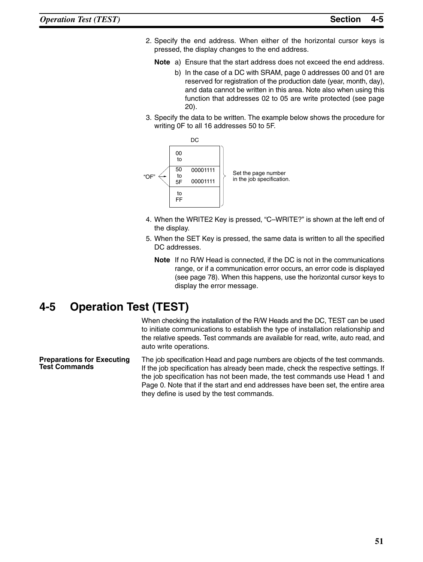- 2. Specify the end address. When either of the horizontal cursor keys is pressed, the display changes to the end address.
	- **Note** a) Ensure that the start address does not exceed the end address.
		- b) In the case of a DC with SRAM, page 0 addresses 00 and 01 are reserved for registration of the production date (year, month, day), and data cannot be written in this area. Note also when using this function that addresses 02 to 05 are write protected (see page 20).
- 3. Specify the data to be written. The example below shows the procedure for writing 0F to all 16 addresses 50 to 5F.



- 4. When the WRITE2 Key is pressed, "C–WRITE?" is shown at the left end of the display.
- 5. When the SET Key is pressed, the same data is written to all the specified DC addresses.
	- **Note** If no R/W Head is connected, if the DC is not in the communications range, or if a communication error occurs, an error code is displayed (see page 78). When this happens, use the horizontal cursor keys to display the error message.

## **4-5 Operation Test (TEST)**

When checking the installation of the R/W Heads and the DC, TEST can be used to initiate communications to establish the type of installation relationship and the relative speeds. Test commands are available for read, write, auto read, and auto write operations.

The job specification Head and page numbers are objects of the test commands. If the job specification has already been made, check the respective settings. If the job specification has not been made, the test commands use Head 1 and Page 0. Note that if the start and end addresses have been set, the entire area they define is used by the test commands. **Preparations for Executing Test Commands**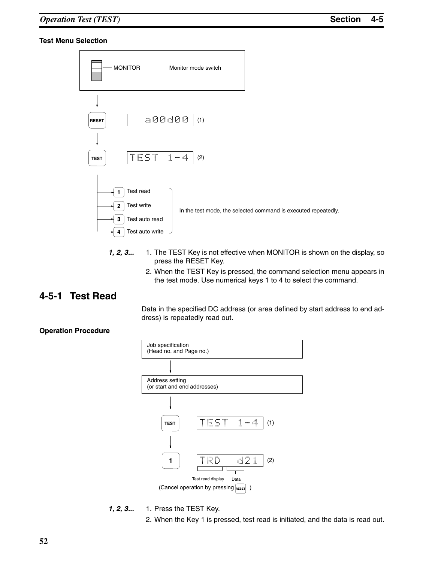#### **Test Menu Selection**



- **1, 2, 3...** 1. The TEST Key is not effective when MONITOR is shown on the display, so press the RESET Key.
	- 2. When the TEST Key is pressed, the command selection menu appears in the test mode. Use numerical keys 1 to 4 to select the command.

#### **4-5-1 Test Read**

Data in the specified DC address (or area defined by start address to end address) is repeatedly read out.

#### **Operation Procedure**



- *1, 2, 3...* 1. Press the TEST Key.
	- 2. When the Key 1 is pressed, test read is initiated, and the data is read out.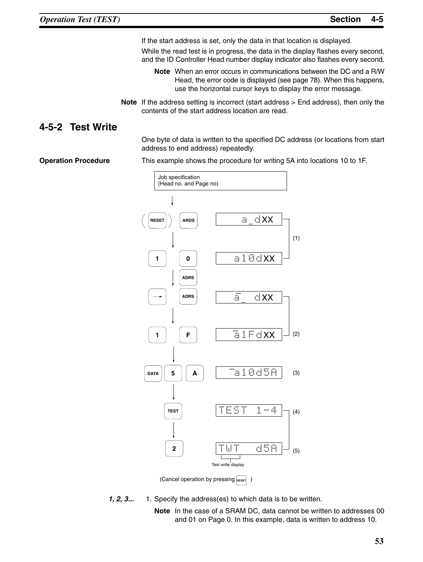If the start address is set, only the data in that location is displayed.

While the read test is in progress, the data in the display flashes every second, and the ID Controller Head number display indicator also flashes every second.

**Note** When an error occurs in communications between the DC and a R/W Head, the error code is displayed (see page 78). When this happens, use the horizontal cursor keys to display the error message.

**Note** If the address setting is incorrect (start address > End address), then only the contents of the start address location are read.

#### **4-5-2 Test Write**

One byte of data is written to the specified DC address (or locations from start address to end address) repeatedly.

**Operation Procedure** This example shows the procedure for writing 5A into locations 10 to 1F.



(Cancel operation by pressing **RESET** 

*1, 2, 3...* 1. Specify the address(es) to which data is to be written.

**Note** In the case of a SRAM DC, data cannot be written to addresses 00 and 01 on Page 0. In this example, data is written to address 10.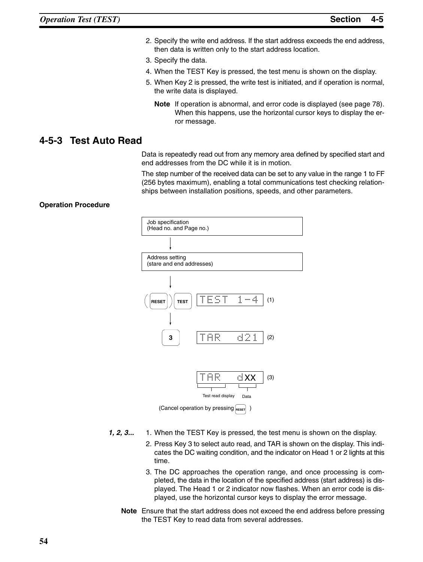- 2. Specify the write end address. If the start address exceeds the end address, then data is written only to the start address location.
- 3. Specify the data.
- 4. When the TEST Key is pressed, the test menu is shown on the display.
- 5. When Key 2 is pressed, the write test is initiated, and if operation is normal, the write data is displayed.
	- **Note** If operation is abnormal, and error code is displayed (see page 78). When this happens, use the horizontal cursor keys to display the error message.

#### **4-5-3 Test Auto Read**

Data is repeatedly read out from any memory area defined by specified start and end addresses from the DC while it is in motion.

The step number of the received data can be set to any value in the range 1 to FF (256 bytes maximum), enabling a total communications test checking relationships between installation positions, speeds, and other parameters.

#### **Operation Procedure**



(Cancel operation by pressing RESET)

- 1, 2, 3... 1. When the TEST Key is pressed, the test menu is shown on the display.
	- 2. Press Key 3 to select auto read, and TAR is shown on the display. This indicates the DC waiting condition, and the indicator on Head 1 or 2 lights at this time.
	- 3. The DC approaches the operation range, and once processing is completed, the data in the location of the specified address (start address) is displayed. The Head 1 or 2 indicator now flashes. When an error code is displayed, use the horizontal cursor keys to display the error message.
	- **Note** Ensure that the start address does not exceed the end address before pressing the TEST Key to read data from several addresses.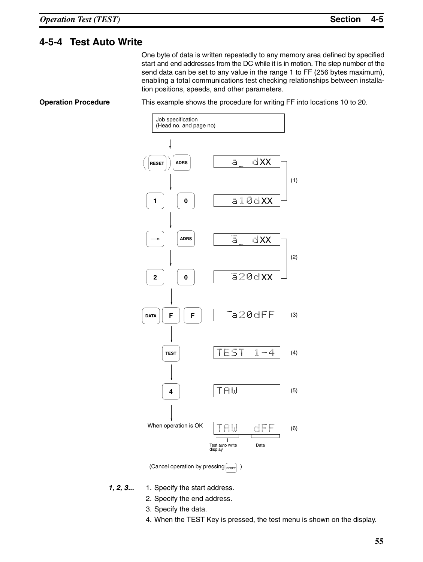#### **4-5-4 Test Auto Write**

One byte of data is written repeatedly to any memory area defined by specified start and end addresses from the DC while it is in motion. The step number of the send data can be set to any value in the range 1 to FF (256 bytes maximum), enabling a total communications test checking relationships between installation positions, speeds, and other parameters.

**Operation Procedure** This example shows the procedure for writing FF into locations 10 to 20.



(Cancel operation by pressing **RESET**)

- *1, 2, 3...* 1. Specify the start address.
	- 2. Specify the end address.
	- 3. Specify the data.
	- 4. When the TEST Key is pressed, the test menu is shown on the display.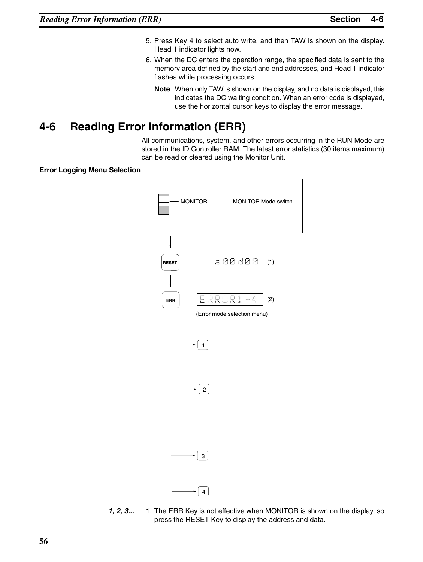- 5. Press Key 4 to select auto write, and then TAW is shown on the display. Head 1 indicator lights now.
- 6. When the DC enters the operation range, the specified data is sent to the memory area defined by the start and end addresses, and Head 1 indicator flashes while processing occurs.
	- **Note** When only TAW is shown on the display, and no data is displayed, this indicates the DC waiting condition. When an error code is displayed, use the horizontal cursor keys to display the error message.

# **4-6 Reading Error Information (ERR)**

All communications, system, and other errors occurring in the RUN Mode are stored in the ID Controller RAM. The latest error statistics (30 items maximum) can be read or cleared using the Monitor Unit.

**Error Logging Menu Selection**



**1, 2, 3...** 1. The ERR Key is not effective when MONITOR is shown on the display, so press the RESET Key to display the address and data.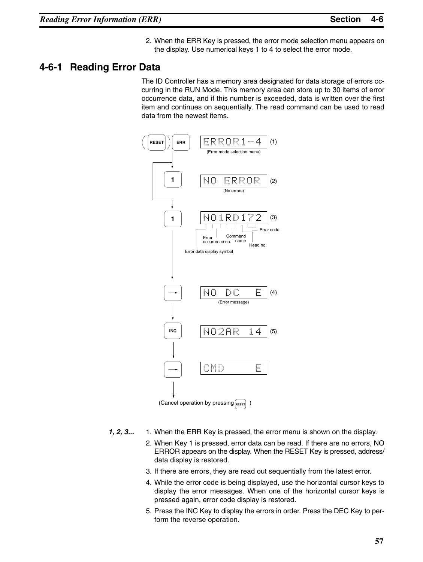2. When the ERR Key is pressed, the error mode selection menu appears on the display. Use numerical keys 1 to 4 to select the error mode.

#### **4-6-1 Reading Error Data**

The ID Controller has a memory area designated for data storage of errors occurring in the RUN Mode. This memory area can store up to 30 items of error occurrence data, and if this number is exceeded, data is written over the first item and continues on sequentially. The read command can be used to read data from the newest items.



- *1, 2, 3...* 1. When the ERR Key is pressed, the error menu is shown on the display.
	- 2. When Key 1 is pressed, error data can be read. If there are no errors, NO ERROR appears on the display. When the RESET Key is pressed, address/ data display is restored.
	- 3. If there are errors, they are read out sequentially from the latest error.
	- 4. While the error code is being displayed, use the horizontal cursor keys to display the error messages. When one of the horizontal cursor keys is pressed again, error code display is restored.
	- 5. Press the INC Key to display the errors in order. Press the DEC Key to perform the reverse operation.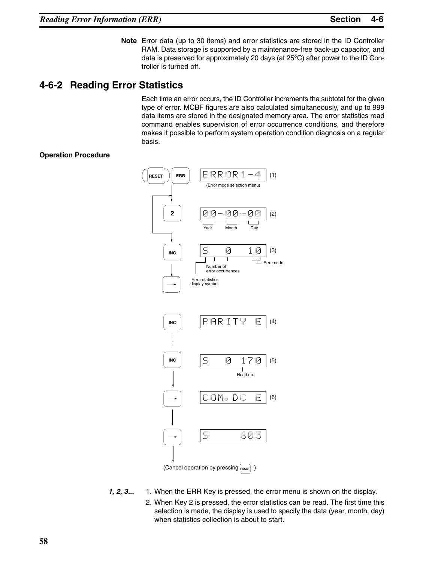**Note** Error data (up to 30 items) and error statistics are stored in the ID Controller RAM. Data storage is supported by a maintenance-free back-up capacitor, and data is preserved for approximately 20 days (at 25°C) after power to the ID Controller is turned off.

### **4-6-2 Reading Error Statistics**

Each time an error occurs, the ID Controller increments the subtotal for the given type of error. MCBF figures are also calculated simultaneously, and up to 999 data items are stored in the designated memory area. The error statistics read command enables supervision of error occurrence conditions, and therefore makes it possible to perform system operation condition diagnosis on a regular basis.

#### **Operation Procedure**



- *1, 2, 3...* 1. When the ERR Key is pressed, the error menu is shown on the display.
	- 2. When Key 2 is pressed, the error statistics can be read. The first time this selection is made, the display is used to specify the data (year, month, day) when statistics collection is about to start.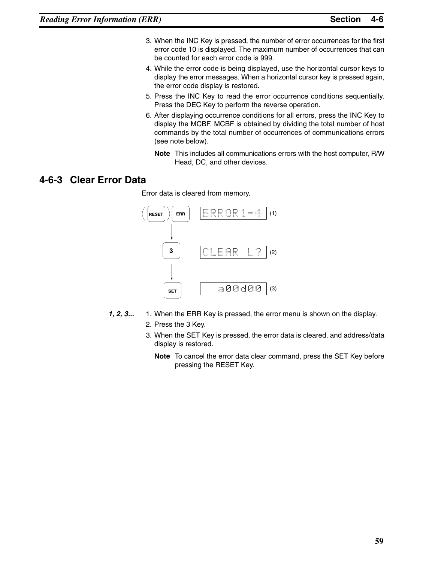- 3. When the INC Key is pressed, the number of error occurrences for the first error code 10 is displayed. The maximum number of occurrences that can be counted for each error code is 999.
- 4. While the error code is being displayed, use the horizontal cursor keys to display the error messages. When a horizontal cursor key is pressed again, the error code display is restored.
- 5. Press the INC Key to read the error occurrence conditions sequentially. Press the DEC Key to perform the reverse operation.
- 6. After displaying occurrence conditions for all errors, press the INC Key to display the MCBF. MCBF is obtained by dividing the total number of host commands by the total number of occurrences of communications errors (see note below).
	- **Note** This includes all communications errors with the host computer, R/W Head, DC, and other devices.

#### **4-6-3 Clear Error Data**

Error data is cleared from memory.



- *1, 2, 3...* 1. When the ERR Key is pressed, the error menu is shown on the display. 2. Press the 3 Key.
	- 3. When the SET Key is pressed, the error data is cleared, and address/data display is restored.
		- **Note** To cancel the error data clear command, press the SET Key before pressing the RESET Key.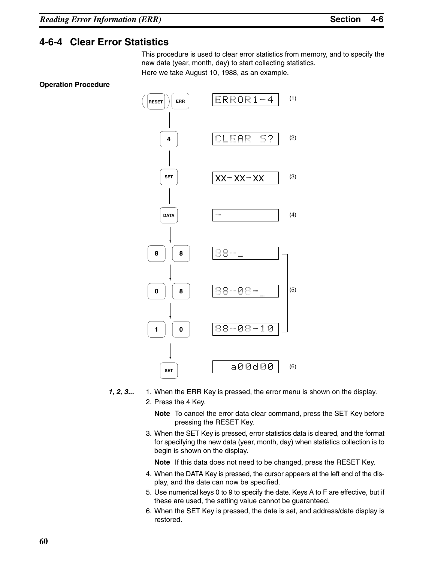#### **4-6-4 Clear Error Statistics**

This procedure is used to clear error statistics from memory, and to specify the new date (year, month, day) to start collecting statistics. Here we take August 10, 1988, as an example.

#### **Operation Procedure**



*1, 2, 3...* 1. When the ERR Key is pressed, the error menu is shown on the display. 2. Press the 4 Key.

> **Note** To cancel the error data clear command, press the SET Key before pressing the RESET Key.

3. When the SET Key is pressed, error statistics data is cleared, and the format for specifying the new data (year, month, day) when statistics collection is to begin is shown on the display.

**Note** If this data does not need to be changed, press the RESET Key.

- 4. When the DATA Key is pressed, the cursor appears at the left end of the display, and the date can now be specified.
- 5. Use numerical keys 0 to 9 to specify the date. Keys A to F are effective, but if these are used, the setting value cannot be guaranteed.
- 6. When the SET Key is pressed, the date is set, and address/date display is restored.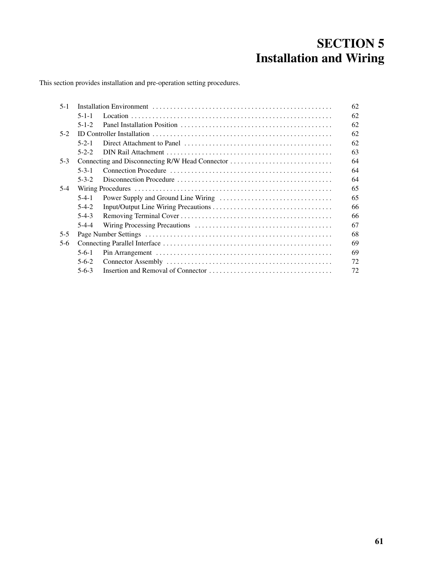# **SECTION 5 Installation and Wiring**

This section provides installation and pre-operation setting procedures.

|             | 62                                              |
|-------------|-------------------------------------------------|
| $5 - 1 - 1$ | 62                                              |
| $5 - 1 - 2$ | 62                                              |
|             | 62                                              |
| $5 - 2 - 1$ | 62                                              |
| $5 - 2 - 2$ | 63                                              |
|             | 64                                              |
| $5 - 3 - 1$ | 64                                              |
| $5 - 3 - 2$ | 64                                              |
|             | 65                                              |
| $5-4-1$     | 65                                              |
| $5-4-2$     | 66                                              |
| $5-4-3$     | 66                                              |
| $5-4-4$     | 67                                              |
|             | 68                                              |
|             | 69                                              |
| $5-6-1$     | 69                                              |
| $5 - 6 - 2$ | 72                                              |
| $5-6-3$     | 72                                              |
|             | Connecting and Disconnecting R/W Head Connector |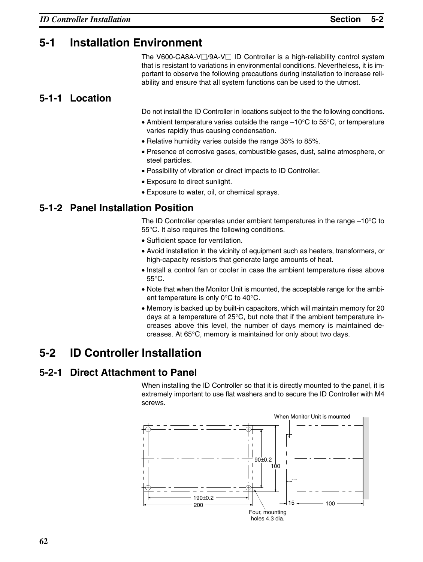## **5-1 Installation Environment**

The V600-CA8A-V $\Box$ /9A-V $\Box$  ID Controller is a high-reliability control system that is resistant to variations in environmental conditions. Nevertheless, it is important to observe the following precautions during installation to increase reliability and ensure that all system functions can be used to the utmost.

## **5-1-1 Location**

Do not install the ID Controller in locations subject to the the following conditions.

- Ambient temperature varies outside the range –10°C to 55°C, or temperature varies rapidly thus causing condensation.
- Relative humidity varies outside the range 35% to 85%.
- Presence of corrosive gases, combustible gases, dust, saline atmosphere, or steel particles.
- Possibility of vibration or direct impacts to ID Controller.
- Exposure to direct sunlight.
- Exposure to water, oil, or chemical sprays.

## **5-1-2 Panel Installation Position**

The ID Controller operates under ambient temperatures in the range  $-10^{\circ}$ C to 55°C. It also requires the following conditions.

- Sufficient space for ventilation.
- Avoid installation in the vicinity of equipment such as heaters, transformers, or high-capacity resistors that generate large amounts of heat.
- Install a control fan or cooler in case the ambient temperature rises above 55°C.
- Note that when the Monitor Unit is mounted, the acceptable range for the ambient temperature is only 0°C to 40°C.
- Memory is backed up by built-in capacitors, which will maintain memory for 20 days at a temperature of 25°C, but note that if the ambient temperature increases above this level, the number of days memory is maintained decreases. At 65°C, memory is maintained for only about two days.

# **5-2 ID Controller Installation**

# **5-2-1 Direct Attachment to Panel**

When installing the ID Controller so that it is directly mounted to the panel, it is extremely important to use flat washers and to secure the ID Controller with M4 screws.

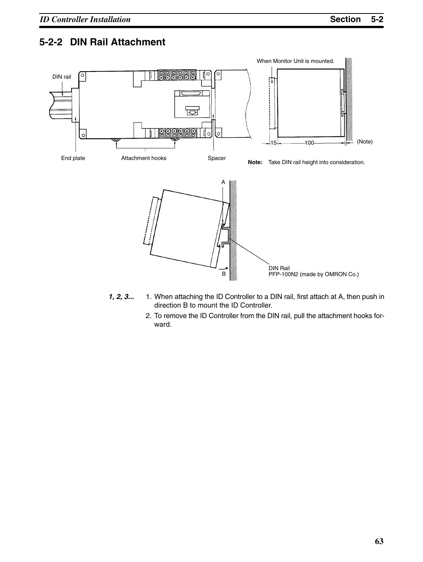## **5-2-2 DIN Rail Attachment**



- *1, 2, 3...* 1. When attaching the ID Controller to a DIN rail, first attach at A, then push in direction B to mount the ID Controller.
	- 2. To remove the ID Controller from the DIN rail, pull the attachment hooks forward.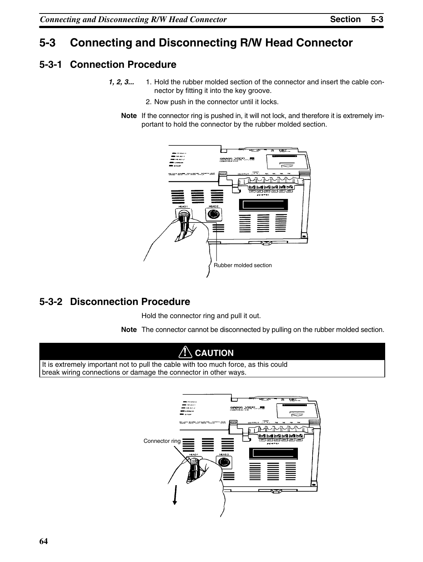# **5-3 Connecting and Disconnecting R/W Head Connector**

## **5-3-1 Connection Procedure**

- **1, 2, 3...** 1. Hold the rubber molded section of the connector and insert the cable connector by fitting it into the key groove.
	- 2. Now push in the connector until it locks.
	- **Note** If the connector ring is pushed in, it will not lock, and therefore it is extremely important to hold the connector by the rubber molded section.



## **5-3-2 Disconnection Procedure**

Hold the connector ring and pull it out.

**Note** The connector cannot be disconnected by pulling on the rubber molded section.

## **! CAUTION**

It is extremely important not to pull the cable with too much force, as this could break wiring connections or damage the connector in other ways.

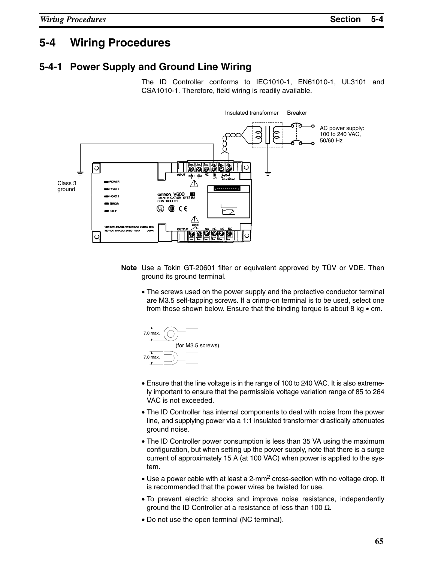## **5-4 Wiring Procedures**

#### **5-4-1 Power Supply and Ground Line Wiring**

The ID Controller conforms to IEC1010-1, EN61010-1, UL3101 and CSA1010-1. Therefore, field wiring is readily available.



- **Note** Use a Tokin GT-20601 filter or equivalent approved by TÜV or VDE. Then ground its ground terminal.
	- The screws used on the power supply and the protective conductor terminal are M3.5 self-tapping screws. If a crimp-on terminal is to be used, select one from those shown below. Ensure that the binding torque is about 8 kg • cm.



- Ensure that the line voltage is in the range of 100 to 240 VAC. It is also extremely important to ensure that the permissible voltage variation range of 85 to 264 VAC is not exceeded.
- The ID Controller has internal components to deal with noise from the power line, and supplying power via a 1:1 insulated transformer drastically attenuates ground noise.
- The ID Controller power consumption is less than 35 VA using the maximum configuration, but when setting up the power supply, note that there is a surge current of approximately 15 A (at 100 VAC) when power is applied to the system.
- Use a power cable with at least a 2-mm<sup>2</sup> cross-section with no voltage drop. It is recommended that the power wires be twisted for use.
- To prevent electric shocks and improve noise resistance, independently ground the ID Controller at a resistance of less than 100  $\Omega$ .
- Do not use the open terminal (NC terminal).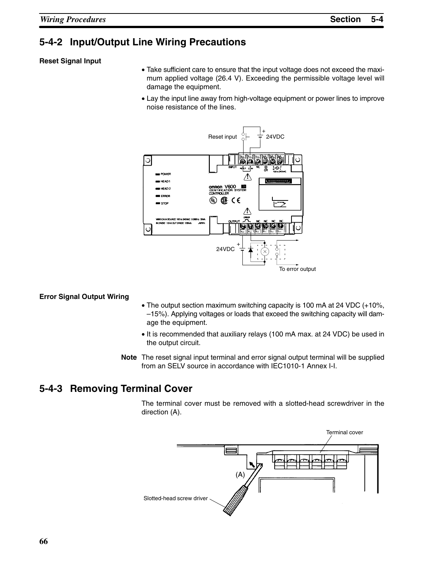#### **5-4-2 Input/Output Line Wiring Precautions**

#### **Reset Signal Input**

- Take sufficient care to ensure that the input voltage does not exceed the maximum applied voltage (26.4 V). Exceeding the permissible voltage level will damage the equipment.
- Lay the input line away from high-voltage equipment or power lines to improve noise resistance of the lines.



#### **Error Signal Output Wiring**

- The output section maximum switching capacity is 100 mA at 24 VDC (+10%, –15%). Applying voltages or loads that exceed the switching capacity will damage the equipment.
- It is recommended that auxiliary relays (100 mA max. at 24 VDC) be used in the output circuit.
- **Note** The reset signal input terminal and error signal output terminal will be supplied from an SELV source in accordance with IEC1010-1 Annex I-I.

#### **5-4-3 Removing Terminal Cover**

The terminal cover must be removed with a slotted-head screwdriver in the direction (A).

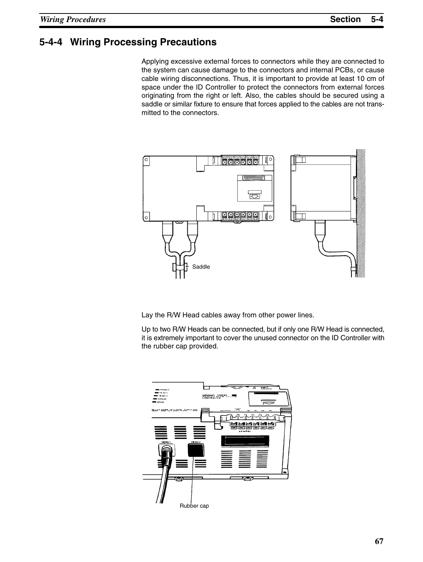### **5-4-4 Wiring Processing Precautions**

Applying excessive external forces to connectors while they are connected to the system can cause damage to the connectors and internal PCBs, or cause cable wiring disconnections. Thus, it is important to provide at least 10 cm of space under the ID Controller to protect the connectors from external forces originating from the right or left. Also, the cables should be secured using a saddle or similar fixture to ensure that forces applied to the cables are not transmitted to the connectors.



Lay the R/W Head cables away from other power lines.

Up to two R/W Heads can be connected, but if only one R/W Head is connected, it is extremely important to cover the unused connector on the ID Controller with the rubber cap provided.

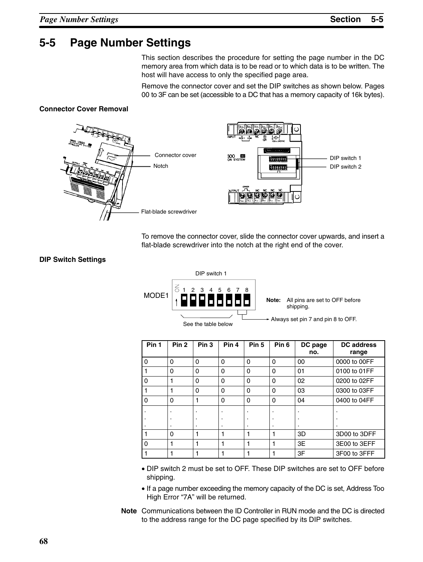# **5-5 Page Number Settings**

This section describes the procedure for setting the page number in the DC memory area from which data is to be read or to which data is to be written. The host will have access to only the specified page area.

Remove the connector cover and set the DIP switches as shown below. Pages 00 to 3F can be set (accessible to a DC that has a memory capacity of 16k bytes).

#### **Connector Cover Removal**



To remove the connector cover, slide the connector cover upwards, and insert a flat-blade screwdriver into the notch at the right end of the cover.

#### **DIP Switch Settings**



| Pin 1          | Pin <sub>2</sub> | Pin <sub>3</sub> | Pin 4    | Pin <sub>5</sub> | Pin <sub>6</sub> | DC page<br>no. | <b>DC</b> address<br>range |
|----------------|------------------|------------------|----------|------------------|------------------|----------------|----------------------------|
| $\overline{0}$ | $\mathbf 0$      | 0                | $\Omega$ | $\mathbf 0$      | 0                | 00             | 0000 to 00FF               |
|                | $\mathbf 0$      | 0                | 0        | $\mathbf 0$      | 0                | 01             | 0100 to 01FF               |
| $\overline{0}$ |                  | 0                | $\Omega$ | $\mathbf 0$      | 0                | 02             | 0200 to 02FF               |
|                |                  | 0                | 0        | $\mathbf 0$      | 0                | 03             | 0300 to 03FF               |
| $\pmb{0}$      | 0                |                  | $\Omega$ | $\mathbf 0$      | 0                | 04             | 0400 to 04FF               |
|                |                  |                  |          |                  |                  |                |                            |
|                |                  |                  |          |                  |                  |                |                            |
|                | ٠                |                  | ٠        | ٠                | ٠                |                |                            |
|                | $\Omega$         |                  |          |                  |                  | 3D             | 3D00 to 3DFF               |
| $\mathbf 0$    |                  |                  |          |                  |                  | 3E             | 3E00 to 3EFF               |
|                |                  |                  |          |                  |                  | 3F             | 3F00 to 3FFF               |

- DIP switch 2 must be set to OFF. These DIP switches are set to OFF before shipping.
- If a page number exceeding the memory capacity of the DC is set, Address Too High Error "7A" will be returned.
- **Note** Communications between the ID Controller in RUN mode and the DC is directed to the address range for the DC page specified by its DIP switches.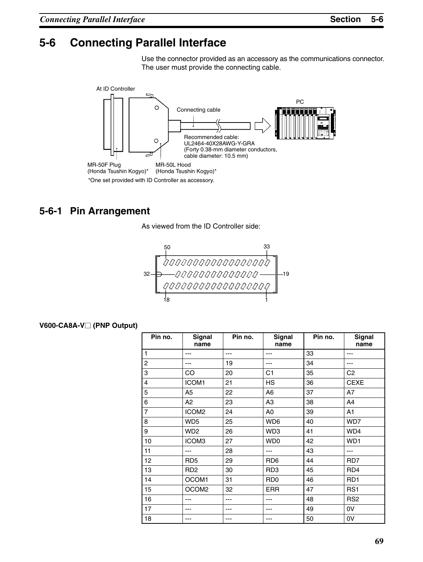# **5-6 Connecting Parallel Interface**

Use the connector provided as an accessory as the communications connector. The user must provide the connecting cable.



## **5-6-1 Pin Arrangement**

As viewed from the ID Controller side:

# $\begin{array}{r} \text{50} \\ \begin{array}{c} \text{33} \\ \text{1} \\ \text{0} \\ \text{0} \\ \text{0} \\ \text{0} \\ \text{0} \\ \text{0} \\ \text{0} \\ \text{0} \\ \text{0} \\ \text{0} \\ \text{0} \\ \text{0} \\ \text{0} \\ \text{0} \\ \text{0} \\ \text{0} \\ \text{0} \\ \text{0} \\ \text{0} \\ \text{0} \\ \text{0} \\ \text{0} \\ \text{0} \\ \text{0} \\ \text{0} \\ \text{0} \\ \text{0} \\ \text{0} \\ \text{0} \\ \text{0} \\ \text{0} \\$ 32 19  $\sqrt{\frac{00000000000000000}{1}}$

#### **V600-CA8A-V (PNP Output)**

| Pin no.        | Signal<br>name              | Pin no. | Signal<br>name  | Pin no. | Signal<br>name  |
|----------------|-----------------------------|---------|-----------------|---------|-----------------|
| $\mathbf{1}$   | ---                         | ---     | ---             | 33      | ---             |
| $\overline{c}$ |                             | 19      | ---             | 34      |                 |
| 3              | CO                          | 20      | C <sub>1</sub>  | 35      | C <sub>2</sub>  |
| 4              | ICOM1                       | 21      | HS              | 36      | <b>CEXE</b>     |
| 5              | A <sub>5</sub>              | 22      | A <sub>6</sub>  | 37      | A7              |
| 6              | A2                          | 23      | A <sub>3</sub>  | 38      | A4              |
| $\overline{7}$ | ICOM <sub>2</sub>           | 24      | A <sub>0</sub>  | 39      | A1              |
| 8              | WD <sub>5</sub>             | 25      | WD6             | 40      | WD7             |
| 9              | WD <sub>2</sub>             | 26      | WD3             | 41      | WD4             |
| 10             | ICOM3                       | 27      | WD <sub>0</sub> | 42      | WD <sub>1</sub> |
| 11             | ---                         | 28      | ---             | 43      | ---             |
| 12             | RD <sub>5</sub>             | 29      | RD <sub>6</sub> | 44      | RD7             |
| 13             | R <sub>D</sub> <sub>2</sub> | 30      | RD <sub>3</sub> | 45      | RD4             |
| 14             | OCOM1                       | 31      | R <sub>D</sub>  | 46      | RD <sub>1</sub> |
| 15             | OCOM2                       | 32      | <b>ERR</b>      | 47      | RS <sub>1</sub> |
| 16             |                             |         |                 | 48      | RS <sub>2</sub> |
| 17             |                             |         |                 | 49      | 0V              |
| 18             |                             |         | ---             | 50      | 0V              |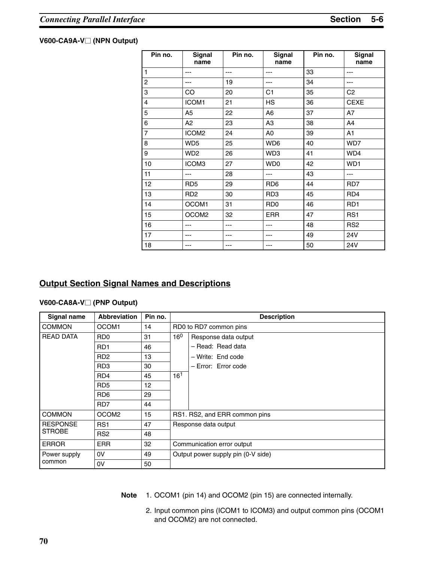#### **V600-CA9A-V (NPN Output)**

| Pin no.        | <b>Signal</b><br>name | Pin no. | <b>Signal</b><br>name | Pin no. | <b>Signal</b><br>name |
|----------------|-----------------------|---------|-----------------------|---------|-----------------------|
| $\mathbf{1}$   | ---                   | ---     | ---                   | 33      | ---                   |
| 2              | ---                   | 19      | ---                   | 34      | ---                   |
| 3              | CO                    | 20      | C <sub>1</sub>        | 35      | C <sub>2</sub>        |
| 4              | ICOM1                 | 21      | <b>HS</b>             | 36      | <b>CEXE</b>           |
| 5              | A <sub>5</sub>        | 22      | A <sub>6</sub>        | 37      | A7                    |
| 6              | A <sub>2</sub>        | 23      | A <sub>3</sub>        | 38      | A4                    |
| $\overline{7}$ | ICOM <sub>2</sub>     | 24      | A <sub>0</sub>        | 39      | A1                    |
| 8              | WD <sub>5</sub>       | 25      | WD6                   | 40      | WD7                   |
| 9              | WD <sub>2</sub>       | 26      | WD3                   | 41      | WD4                   |
| 10             | ICOM3                 | 27      | WD <sub>0</sub>       | 42      | WD <sub>1</sub>       |
| 11             | ---                   | 28      | ---                   | 43      | ---                   |
| 12             | RD <sub>5</sub>       | 29      | RD <sub>6</sub>       | 44      | RD7                   |
| 13             | RD <sub>2</sub>       | 30      | RD <sub>3</sub>       | 45      | RD4                   |
| 14             | OCOM1                 | 31      | RD <sub>0</sub>       | 46      | RD <sub>1</sub>       |
| 15             | OCOM <sub>2</sub>     | 32      | <b>ERR</b>            | 47      | RS <sub>1</sub>       |
| 16             |                       | ---     |                       | 48      | RS <sub>2</sub>       |
| 17             | ---                   | ---     | ---                   | 49      | 24V                   |
| 18             | ---                   | ---     | ---                   | 50      | 24V                   |

### **Output Section Signal Names and Descriptions**

#### **V600-CA8A-V (PNP Output)**

| Signal name      | <b>Abbreviation</b>         | Pin no. | <b>Description</b>                 |  |  |
|------------------|-----------------------------|---------|------------------------------------|--|--|
| <b>COMMON</b>    | OCOM <sub>1</sub>           | 14      | RD0 to RD7 common pins             |  |  |
| <b>READ DATA</b> | R <sub>D</sub> <sub>0</sub> | 31      | $16^{0}$<br>Response data output   |  |  |
|                  | R <sub>D</sub> 1            | 46      | - Read: Read data                  |  |  |
|                  | R <sub>D</sub> <sub>2</sub> | 13      | - Write: End code                  |  |  |
|                  | RD <sub>3</sub>             | 30      | - Error: Error code                |  |  |
|                  | RD4                         | 45      | $16^{1}$                           |  |  |
|                  | RD <sub>5</sub>             | 12      |                                    |  |  |
|                  | RD <sub>6</sub>             | 29      |                                    |  |  |
|                  | RD <sub>7</sub>             | 44      |                                    |  |  |
| <b>COMMON</b>    | OCOM <sub>2</sub>           | 15      | RS1. RS2, and ERR common pins      |  |  |
| <b>RESPONSE</b>  | RS <sub>1</sub>             | 47      | Response data output               |  |  |
| <b>STROBE</b>    | RS <sub>2</sub>             | 48      |                                    |  |  |
| <b>ERROR</b>     | <b>ERR</b>                  | 32      | Communication error output         |  |  |
| Power supply     | 0V                          | 49      | Output power supply pin (0-V side) |  |  |
| common           | 0V                          | 50      |                                    |  |  |

**Note** 1. OCOM1 (pin 14) and OCOM2 (pin 15) are connected internally.

2. Input common pins (ICOM1 to ICOM3) and output common pins (OCOM1 and OCOM2) are not connected.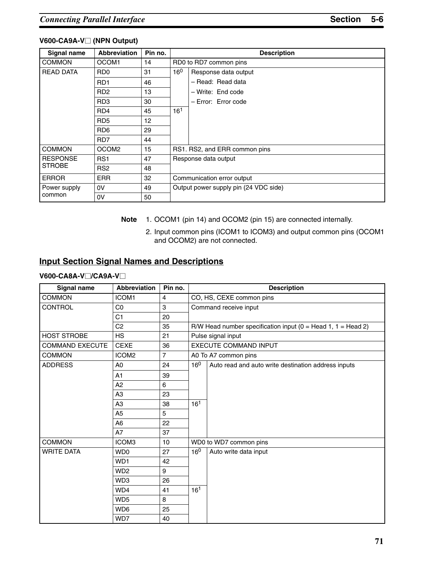#### **V600-CA9A-V (NPN Output)**

| Signal name      | <b>Abbreviation</b>         | Pin no. | <b>Description</b>         |                                       |  |  |
|------------------|-----------------------------|---------|----------------------------|---------------------------------------|--|--|
| <b>COMMON</b>    | OCOM1                       | 14      |                            | RD0 to RD7 common pins                |  |  |
| <b>READ DATA</b> | R <sub>D</sub> <sub>0</sub> | 31      | $16^{0}$                   | Response data output                  |  |  |
|                  | RD <sub>1</sub>             | 46      |                            | - Read: Read data                     |  |  |
|                  | R <sub>D</sub> <sub>2</sub> | 13      |                            | - Write: End code                     |  |  |
|                  | RD <sub>3</sub>             | 30      |                            | - Error: Error code                   |  |  |
|                  | RD4                         | 45      | 16 <sup>1</sup>            |                                       |  |  |
|                  | RD <sub>5</sub>             | 12      |                            |                                       |  |  |
|                  | RD <sub>6</sub>             | 29      |                            |                                       |  |  |
|                  | RD7                         | 44      |                            |                                       |  |  |
| <b>COMMON</b>    | OCOM <sub>2</sub>           | 15      |                            | RS1. RS2, and ERR common pins         |  |  |
| <b>RESPONSE</b>  | RS <sub>1</sub>             | 47      |                            | Response data output                  |  |  |
| <b>STROBE</b>    | RS <sub>2</sub>             | 48      |                            |                                       |  |  |
| <b>ERROR</b>     | <b>ERR</b>                  | 32      | Communication error output |                                       |  |  |
| Power supply     | 0V                          | 49      |                            | Output power supply pin (24 VDC side) |  |  |
| common           | 0V                          | 50      |                            |                                       |  |  |

**Note** 1. OCOM1 (pin 14) and OCOM2 (pin 15) are connected internally.

2. Input common pins (ICOM1 to ICOM3) and output common pins (OCOM1 and OCOM2) are not connected.

#### **Input Section Signal Names and Descriptions**

#### **V600-CA8A-V/CA9A-V**

| Signal name            | <b>Abbreviation</b> | Pin no. | <b>Description</b>    |                                                                 |  |  |
|------------------------|---------------------|---------|-----------------------|-----------------------------------------------------------------|--|--|
| <b>COMMON</b>          | <b>ICOM1</b>        | 4       |                       | CO, HS, CEXE common pins                                        |  |  |
| CONTROL                | C <sub>0</sub>      | 3       | Command receive input |                                                                 |  |  |
|                        | C <sub>1</sub>      | 20      |                       |                                                                 |  |  |
|                        | C <sub>2</sub>      | 35      |                       | R/W Head number specification input ( $0 =$ Head 1, 1 = Head 2) |  |  |
| <b>HOST STROBE</b>     | <b>HS</b>           | 21      |                       | Pulse signal input                                              |  |  |
| <b>COMMAND EXECUTE</b> | <b>CEXE</b>         | 36      |                       | <b>EXECUTE COMMAND INPUT</b>                                    |  |  |
| <b>COMMON</b>          | ICOM <sub>2</sub>   | 7       |                       | A0 To A7 common pins                                            |  |  |
| <b>ADDRESS</b>         | A <sub>0</sub>      | 24      | 16 <sup>0</sup>       | Auto read and auto write destination address inputs             |  |  |
|                        | A1                  | 39      |                       |                                                                 |  |  |
|                        | A <sub>2</sub>      | 6       |                       |                                                                 |  |  |
|                        | A <sub>3</sub>      | 23      |                       |                                                                 |  |  |
|                        | A <sub>3</sub>      | 38      | 16 <sup>1</sup>       |                                                                 |  |  |
|                        | A <sub>5</sub>      | 5       |                       |                                                                 |  |  |
|                        | A <sub>6</sub>      | 22      |                       |                                                                 |  |  |
|                        | A7                  | 37      |                       |                                                                 |  |  |
| <b>COMMON</b>          | ICOM3               | 10      |                       | WD0 to WD7 common pins                                          |  |  |
| <b>WRITE DATA</b>      | WD0                 | 27      | $16^{0}$              | Auto write data input                                           |  |  |
|                        | WD1                 | 42      |                       |                                                                 |  |  |
|                        | WD <sub>2</sub>     | 9       |                       |                                                                 |  |  |
|                        | WD3                 | 26      |                       |                                                                 |  |  |
|                        | WD4                 | 41      | 16 <sup>1</sup>       |                                                                 |  |  |
|                        | WD <sub>5</sub>     | 8       |                       |                                                                 |  |  |
|                        | WD6                 | 25      |                       |                                                                 |  |  |
|                        | WD7                 | 40      |                       |                                                                 |  |  |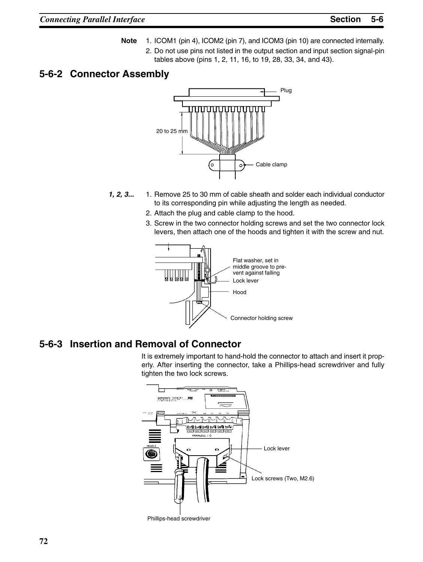- **Note** 1. ICOM1 (pin 4), ICOM2 (pin 7), and ICOM3 (pin 10) are connected internally.
	- 2. Do not use pins not listed in the output section and input section signal-pin tables above (pins 1, 2, 11, 16, to 19, 28, 33, 34, and 43).

### **5-6-2 Connector Assembly**



- *1, 2, 3...* 1. Remove 25 to 30 mm of cable sheath and solder each individual conductor to its corresponding pin while adjusting the length as needed.
	- 2. Attach the plug and cable clamp to the hood.
	- 3. Screw in the two connector holding screws and set the two connector lock levers, then attach one of the hoods and tighten it with the screw and nut.



### **5-6-3 Insertion and Removal of Connector**

It is extremely important to hand-hold the connector to attach and insert it properly. After inserting the connector, take a Phillips-head screwdriver and fully tighten the two lock screws.

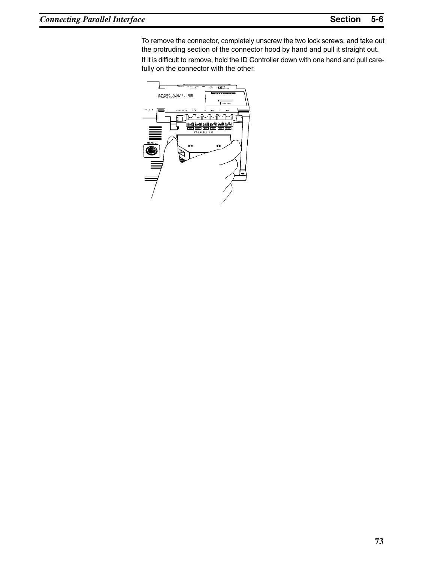To remove the connector, completely unscrew the two lock screws, and take out the protruding section of the connector hood by hand and pull it straight out. If it is difficult to remove, hold the ID Controller down with one hand and pull carefully on the connector with the other.

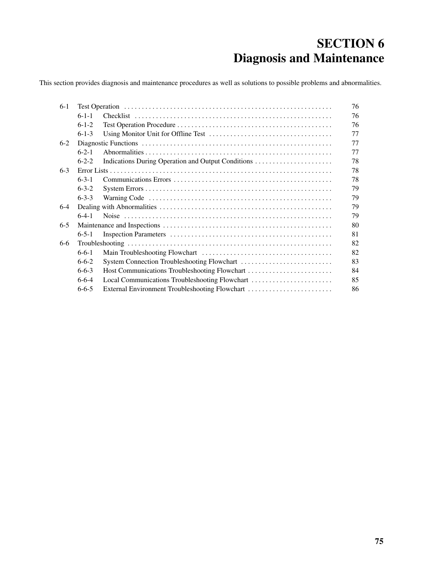# **SECTION 6 Diagnosis and Maintenance**

This section provides diagnosis and maintenance procedures as well as solutions to possible problems and abnormalities.

| $6-1$   |             |                                                    | 76 |  |  |  |  |
|---------|-------------|----------------------------------------------------|----|--|--|--|--|
|         | $6 - 1 - 1$ |                                                    | 76 |  |  |  |  |
|         | $6-1-2$     |                                                    | 76 |  |  |  |  |
|         | $6 - 1 - 3$ |                                                    | 77 |  |  |  |  |
| $6-2$   |             |                                                    |    |  |  |  |  |
|         | $6 - 2 - 1$ |                                                    | 77 |  |  |  |  |
|         | $6 - 2 - 2$ | Indications During Operation and Output Conditions | 78 |  |  |  |  |
| $6 - 3$ |             |                                                    | 78 |  |  |  |  |
|         | $6 - 3 - 1$ |                                                    |    |  |  |  |  |
|         | $6 - 3 - 2$ |                                                    | 79 |  |  |  |  |
|         | $6 - 3 - 3$ |                                                    | 79 |  |  |  |  |
| $6-4$   |             |                                                    | 79 |  |  |  |  |
|         | $6-4-1$     |                                                    | 79 |  |  |  |  |
| $6 - 5$ |             |                                                    |    |  |  |  |  |
|         | $6 - 5 - 1$ |                                                    | 81 |  |  |  |  |
| $6 - 6$ |             |                                                    | 82 |  |  |  |  |
|         | $6 - 6 - 1$ |                                                    | 82 |  |  |  |  |
|         | $6 - 6 - 2$ |                                                    | 83 |  |  |  |  |
|         | $6 - 6 - 3$ | Host Communications Troubleshooting Flowchart      | 84 |  |  |  |  |
|         | $6 - 6 - 4$ | Local Communications Troubleshooting Flowchart     | 85 |  |  |  |  |
|         | $6 - 6 - 5$ | External Environment Troubleshooting Flowchart     | 86 |  |  |  |  |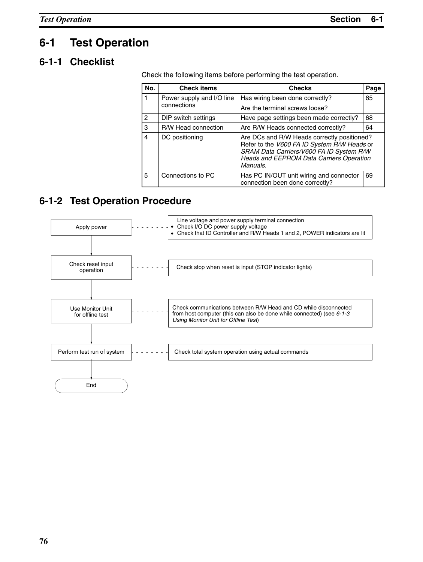## **6-1 Test Operation**

### **6-1-1 Checklist**

Check the following items before performing the test operation.

| No.            | <b>Check items</b>                                                   | <b>Checks</b>                                                                                                                                                                                         | Page |
|----------------|----------------------------------------------------------------------|-------------------------------------------------------------------------------------------------------------------------------------------------------------------------------------------------------|------|
|                | Power supply and I/O line                                            | Has wiring been done correctly?                                                                                                                                                                       | 65   |
|                | connections                                                          | Are the terminal screws loose?                                                                                                                                                                        |      |
| 2              | DIP switch settings<br>Have page settings been made correctly?<br>68 |                                                                                                                                                                                                       |      |
| 3              | R/W Head connection                                                  | Are R/W Heads connected correctly?                                                                                                                                                                    | 64   |
| $\overline{4}$ | DC positioning                                                       | Are DCs and R/W Heads correctly positioned?<br>Refer to the V600 FA ID System R/W Heads or<br>SRAM Data Carriers/V600 FA ID System R/W<br><b>Heads and EEPROM Data Carriers Operation</b><br>Manuals. |      |
| 5              | Connections to PC                                                    | Has PC IN/OUT unit wiring and connector<br>connection been done correctly?                                                                                                                            | 69   |

### **6-1-2 Test Operation Procedure**

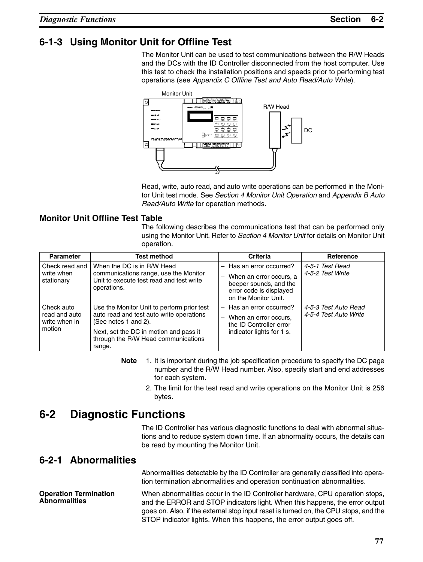### **6-1-3 Using Monitor Unit for Offline Test**

The Monitor Unit can be used to test communications between the R/W Heads and the DCs with the ID Controller disconnected from the host computer. Use this test to check the installation positions and speeds prior to performing test operations (see *Appendix C Offline Test and Auto Read/Auto Write*).



Read, write, auto read, and auto write operations can be performed in the Monitor Unit test mode. See *Section 4 Monitor Unit Operation* and *Appendix B Auto Read/Auto Write* for operation methods.

#### **Monitor Unit Offline Test Table**

The following describes the communications test that can be performed only using the Monitor Unit. Refer to *Section 4 Monitor Unit* for details on Monitor Unit operation.

| <b>Parameter</b>                                       | <b>Test method</b>                                                                                                                                                                                        | <b>Criteria</b>                                                                                                                       | Reference                                     |
|--------------------------------------------------------|-----------------------------------------------------------------------------------------------------------------------------------------------------------------------------------------------------------|---------------------------------------------------------------------------------------------------------------------------------------|-----------------------------------------------|
| Check read and<br>write when<br>stationary             | When the DC is in R/W Head<br>communications range, use the Monitor<br>Unit to execute test read and test write<br>operations.                                                                            | - Has an error occurred?<br>When an error occurs, a<br>—<br>beeper sounds, and the<br>error code is displayed<br>on the Monitor Unit. | 4-5-1 Test Read<br>4-5-2 Test Write           |
| Check auto<br>read and auto<br>write when in<br>motion | Use the Monitor Unit to perform prior test<br>auto read and test auto write operations<br>(See notes 1 and 2).<br>Next, set the DC in motion and pass it<br>through the R/W Head communications<br>range. | - Has an error occurred?<br>When an error occurs,<br>—<br>the ID Controller error<br>indicator lights for 1 s.                        | 4-5-3 Test Auto Read<br>4-5-4 Test Auto Write |

- **Note** 1. It is important during the job specification procedure to specify the DC page number and the R/W Head number. Also, specify start and end addresses for each system.
	- 2. The limit for the test read and write operations on the Monitor Unit is 256 bytes.

## **6-2 Diagnostic Functions**

The ID Controller has various diagnostic functions to deal with abnormal situations and to reduce system down time. If an abnormality occurs, the details can be read by mounting the Monitor Unit.

### **6-2-1 Abnormalities**

Abnormalities detectable by the ID Controller are generally classified into operation termination abnormalities and operation continuation abnormalities.

When abnormalities occur in the ID Controller hardware, CPU operation stops, and the ERROR and STOP indicators light. When this happens, the error output goes on. Also, if the external stop input reset is turned on, the CPU stops, and the STOP indicator lights. When this happens, the error output goes off. **Operation Termination Abnormalities**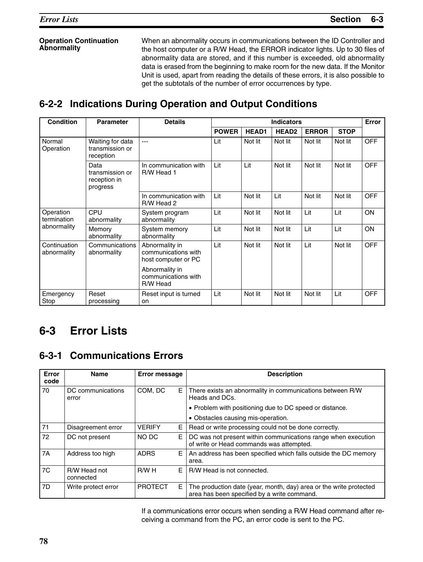#### **Operation Continuation Abnormality**

When an abnormality occurs in communications between the ID Controller and the host computer or a R/W Head, the ERROR indicator lights. Up to 30 files of abnormality data are stored, and if this number is exceeded, old abnormality data is erased from the beginning to make room for the new data. If the Monitor Unit is used, apart from reading the details of these errors, it is also possible to get the subtotals of the number of error occurrences by type.

## **6-2-2 Indications During Operation and Output Conditions**

| <b>Condition</b>                                                                                                             | <b>Parameter</b><br><b>Details</b>                      |                                                   | <b>Indicators</b> |              |                   |              |             |            |
|------------------------------------------------------------------------------------------------------------------------------|---------------------------------------------------------|---------------------------------------------------|-------------------|--------------|-------------------|--------------|-------------|------------|
|                                                                                                                              |                                                         |                                                   | <b>POWER</b>      | <b>HEAD1</b> | HEAD <sub>2</sub> | <b>ERROR</b> | <b>STOP</b> |            |
| Normal<br>Operation                                                                                                          | Waiting for data<br>---<br>transmission or<br>reception |                                                   | Lit               | Not lit      | Not lit           | Not lit      | Not lit     | OFF        |
|                                                                                                                              | Data<br>transmission or<br>reception in<br>progress     | In communication with<br>R/W Head 1               | Lit               | Lit          | Not lit           | Not lit      | Not lit     | OFF        |
|                                                                                                                              |                                                         | In communication with<br>R/W Head 2               | Lit               | Not lit      | Lit               | Not lit      | Not lit     | OFF        |
| Operation<br>termination                                                                                                     | <b>CPU</b><br>abnormality                               | System program<br>abnormality                     | Lit               | Not lit      | Not lit           | Lit          | Lit         | <b>ON</b>  |
| abnormality                                                                                                                  | Memory<br>abnormality                                   | System memory<br>abnormality                      | Lit               | Not lit      | Not lit           | Lit          | Lit         | ON         |
| Continuation<br>Communications<br>Abnormality in<br>communications with<br>abnormality<br>abnormality<br>host computer or PC |                                                         | Lit                                               | Not lit           | Not lit      | Lit               | Not lit      | <b>OFF</b>  |            |
|                                                                                                                              |                                                         | Abnormality in<br>communications with<br>R/W Head |                   |              |                   |              |             |            |
| Emergency<br>Stop                                                                                                            | Reset<br>processing                                     | Reset input is turned<br>on                       | Lit               | Not lit      | Not lit           | Not lit      | Lit         | <b>OFF</b> |

# **6-3 Error Lists**

### **6-3-1 Communications Errors**

| Error<br>code  | <b>Name</b>                | <b>Error message</b> |   | <b>Description</b>                                                                                                |  |  |
|----------------|----------------------------|----------------------|---|-------------------------------------------------------------------------------------------------------------------|--|--|
| 70             | DC communications<br>error | COM. DC              | Е | There exists an abnormality in communications between R/W<br>Heads and DCs.                                       |  |  |
|                |                            |                      |   | • Problem with positioning due to DC speed or distance.                                                           |  |  |
|                |                            |                      |   | • Obstacles causing mis-operation.                                                                                |  |  |
| 71             | Disagreement error         | <b>VERIFY</b>        | Е | Read or write processing could not be done correctly.                                                             |  |  |
| 72             | DC not present             | NO DC                | Е | DC was not present within communications range when execution<br>of write or Head commands was attempted.         |  |  |
| 7A             | Address too high           | <b>ADRS</b>          | Е | An address has been specified which falls outside the DC memory<br>area.                                          |  |  |
| 7 <sub>C</sub> | R/W Head not<br>connected  | R/WH                 | E | R/W Head is not connected.                                                                                        |  |  |
| 7D             | Write protect error        | <b>PROTECT</b>       | Е | The production date (year, month, day) area or the write protected<br>area has been specified by a write command. |  |  |

If a communications error occurs when sending a R/W Head command after receiving a command from the PC, an error code is sent to the PC.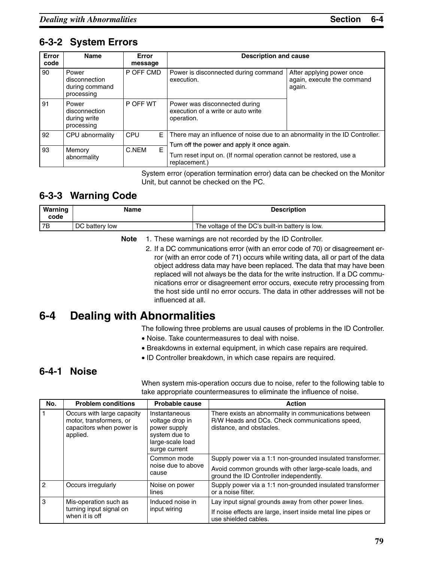## **6-3-2 System Errors**

| Error<br>code | <b>Name</b>                                            | Error<br>message | <b>Description and cause</b>                                                         |                                                                   |  |  |
|---------------|--------------------------------------------------------|------------------|--------------------------------------------------------------------------------------|-------------------------------------------------------------------|--|--|
| 90            | Power<br>disconnection<br>during command<br>processing | P OFF CMD        | Power is disconnected during command<br>execution.                                   | After applying power once<br>again, execute the command<br>again. |  |  |
| 91            | Power<br>disconnection<br>during write<br>processing   | P OFF WT         | Power was disconnected during<br>execution of a write or auto write<br>operation.    |                                                                   |  |  |
| 92            | CPU abnormality                                        | Е<br>CPU         | There may an influence of noise due to an abnormality in the ID Controller.          |                                                                   |  |  |
|               |                                                        |                  | Turn off the power and apply it once again.                                          |                                                                   |  |  |
| 93            | Memory<br>abnormality                                  | E<br>C.NEM       | Turn reset input on. (If normal operation cannot be restored, use a<br>replacement.) |                                                                   |  |  |

System error (operation termination error) data can be checked on the Monitor Unit, but cannot be checked on the PC.

## **6-3-3 Warning Code**

| Warning<br>code | Name           | <b>Description</b>                               |
|-----------------|----------------|--------------------------------------------------|
| 7B              | DC battery low | The voltage of the DC's built-in battery is low. |

#### **Note** 1. These warnings are not recorded by the ID Controller.

2. If a DC communications error (with an error code of 70) or disagreement error (with an error code of 71) occurs while writing data, all or part of the data object address data may have been replaced. The data that may have been replaced will not always be the data for the write instruction. If a DC communications error or disagreement error occurs, execute retry processing from the host side until no error occurs. The data in other addresses will not be influenced at all.

## **6-4 Dealing with Abnormalities**

The following three problems are usual causes of problems in the ID Controller.

- Noise. Take countermeasures to deal with noise.
- Breakdowns in external equipment, in which case repairs are required.
- ID Controller breakdown, in which case repairs are required.

### **6-4-1 Noise**

When system mis-operation occurs due to noise, refer to the following table to take appropriate countermeasures to eliminate the influence of noise.

| No.           | <b>Problem conditions</b>                                                                     | Probable cause                                                                                         | <b>Action</b>                                                                                                                       |
|---------------|-----------------------------------------------------------------------------------------------|--------------------------------------------------------------------------------------------------------|-------------------------------------------------------------------------------------------------------------------------------------|
|               | Occurs with large capacity<br>motor, transformers, or<br>capacitors when power is<br>applied. | Instantaneous<br>voltage drop in<br>power supply<br>system due to<br>large-scale load<br>surge current | There exists an abnormality in communications between<br>R/W Heads and DCs. Check communications speed,<br>distance, and obstacles. |
|               |                                                                                               | Common mode<br>noise due to above<br>cause                                                             | Supply power via a 1:1 non-grounded insulated transformer.                                                                          |
|               |                                                                                               |                                                                                                        | Avoid common grounds with other large-scale loads, and<br>ground the ID Controller independently.                                   |
| $\mathcal{P}$ | Occurs irregularly                                                                            | Noise on power<br>lines                                                                                | Supply power via a 1:1 non-grounded insulated transformer<br>or a noise filter.                                                     |
| 3             | Mis-operation such as                                                                         | Induced noise in                                                                                       | Lay input signal grounds away from other power lines.                                                                               |
|               | turning input signal on<br>input wiring<br>when it is off                                     | If noise effects are large, insert inside metal line pipes or<br>use shielded cables.                  |                                                                                                                                     |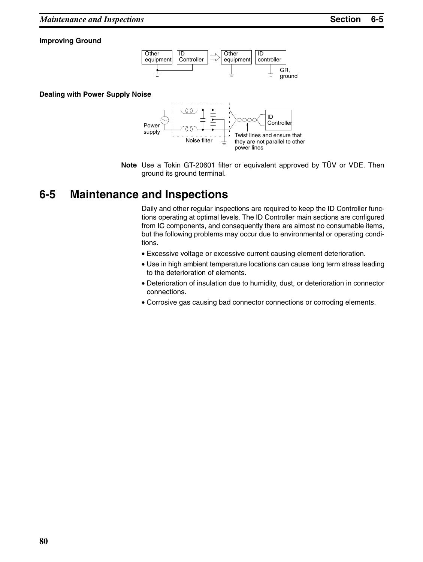#### **Improving Ground**



#### **Dealing with Power Supply Noise**



**Note** Use a Tokin GT-20601 filter or equivalent approved by TÜV or VDE. Then ground its ground terminal.

## **6-5 Maintenance and Inspections**

Daily and other regular inspections are required to keep the ID Controller functions operating at optimal levels. The ID Controller main sections are configured from IC components, and consequently there are almost no consumable items, but the following problems may occur due to environmental or operating conditions.

- Excessive voltage or excessive current causing element deterioration.
- Use in high ambient temperature locations can cause long term stress leading to the deterioration of elements.
- Deterioration of insulation due to humidity, dust, or deterioration in connector connections.
- Corrosive gas causing bad connector connections or corroding elements.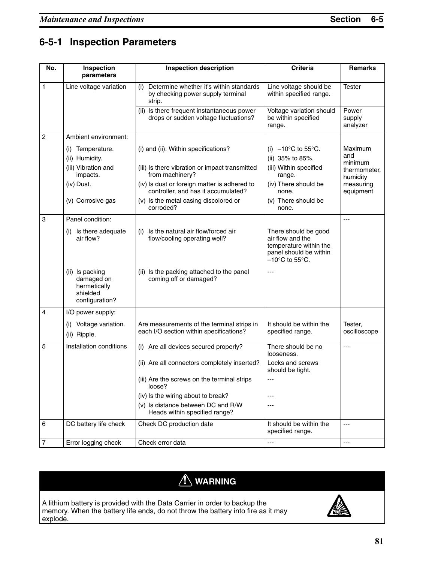## **6-5-1 Inspection Parameters**

| No.            | Inspection<br>parameters                                                    | <b>Inspection description</b>                                                                 | <b>Criteria</b>                                                                                                                     | <b>Remarks</b>              |
|----------------|-----------------------------------------------------------------------------|-----------------------------------------------------------------------------------------------|-------------------------------------------------------------------------------------------------------------------------------------|-----------------------------|
| $\mathbf{1}$   | Line voltage variation                                                      | Determine whether it's within standards<br>(i)<br>by checking power supply terminal<br>strip. | Line voltage should be<br>within specified range.                                                                                   | <b>Tester</b>               |
|                |                                                                             | (ii) Is there frequent instantaneous power<br>drops or sudden voltage fluctuations?           | Voltage variation should<br>be within specified<br>range.                                                                           | Power<br>supply<br>analyzer |
| $\overline{c}$ | Ambient environment:                                                        |                                                                                               |                                                                                                                                     |                             |
|                | Temperature.<br>(i)<br>(ii) Humidity.                                       | (i) and (ii): Within specifications?                                                          | (i) $-10^{\circ}$ C to 55 $^{\circ}$ C.<br>(ii) 35% to 85%.                                                                         | Maximum<br>and<br>minimum   |
|                | (iii) Vibration and<br>impacts.                                             | (iii) Is there vibration or impact transmitted<br>from machinery?                             | (iii) Within specified<br>range.                                                                                                    | thermometer,<br>humidity    |
|                | (iv) Dust.                                                                  | (iv) Is dust or foreign matter is adhered to<br>controller, and has it accumulated?           | (iv) There should be<br>none.                                                                                                       | measuring<br>equipment      |
|                | (v) Corrosive gas                                                           | (v) Is the metal casing discolored or<br>corroded?                                            | (v) There should be<br>none.                                                                                                        |                             |
| 3              | Panel condition:                                                            |                                                                                               |                                                                                                                                     | ---                         |
|                | Is there adequate<br>(i)<br>air flow?                                       | Is the natural air flow/forced air<br>(i)<br>flow/cooling operating well?                     | There should be good<br>air flow and the<br>temperature within the<br>panel should be within<br>$-10^{\circ}$ C to 55 $^{\circ}$ C. |                             |
|                | (ii) Is packing<br>damaged on<br>hermetically<br>shielded<br>configuration? | (ii) Is the packing attached to the panel<br>coming off or damaged?                           | ---                                                                                                                                 |                             |
| 4              | I/O power supply:                                                           |                                                                                               |                                                                                                                                     |                             |
|                | Voltage variation.<br>(i)<br>(ii) Ripple.                                   | Are measurements of the terminal strips in<br>each I/O section within specifications?         | It should be within the<br>specified range.                                                                                         | Tester,<br>oscilloscope     |
| 5              | Installation conditions                                                     | (i) Are all devices secured properly?                                                         | There should be no<br>looseness.                                                                                                    | $---$                       |
|                |                                                                             | (ii) Are all connectors completely inserted?                                                  | Locks and screws<br>should be tight.                                                                                                |                             |
|                |                                                                             | (iii) Are the screws on the terminal strips<br>loose?                                         |                                                                                                                                     |                             |
|                |                                                                             | (iv) Is the wiring about to break?                                                            | $---$                                                                                                                               |                             |
|                |                                                                             | (v) Is distance between DC and R/W<br>Heads within specified range?                           | $---$                                                                                                                               |                             |
| 6              | DC battery life check                                                       | Check DC production date                                                                      | It should be within the<br>specified range.                                                                                         | $---$                       |
| $\overline{7}$ | Error logging check                                                         | Check error data                                                                              | ---                                                                                                                                 | ---                         |

# **! WARNING**

A lithium battery is provided with the Data Carrier in order to backup the memory. When the battery life ends, do not throw the battery into fire as it may explode.

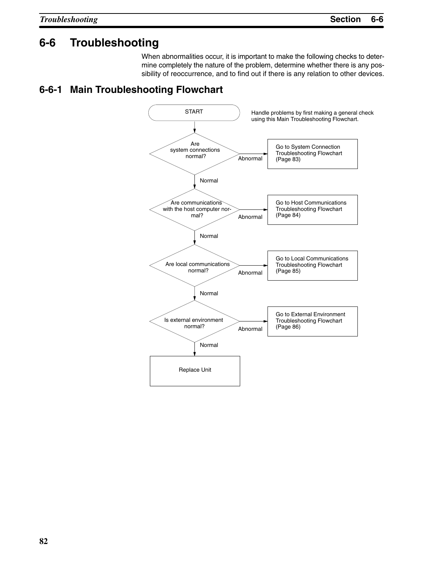## **6-6 Troubleshooting**

When abnormalities occur, it is important to make the following checks to determine completely the nature of the problem, determine whether there is any possibility of reoccurrence, and to find out if there is any relation to other devices.

### **6-6-1 Main Troubleshooting Flowchart**

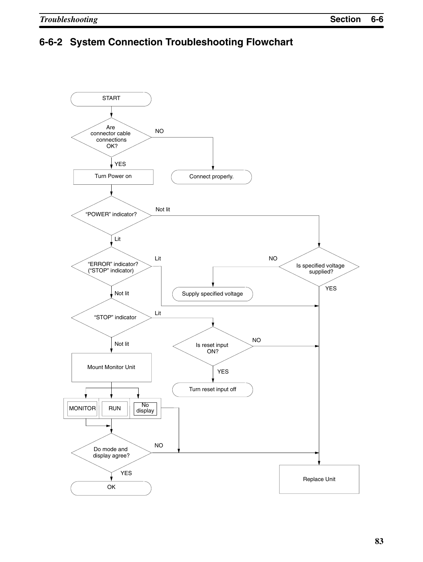## **6-6-2 System Connection Troubleshooting Flowchart**

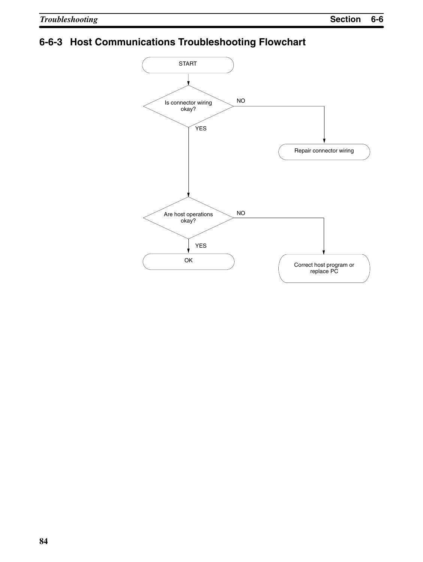# **6-6-3 Host Communications Troubleshooting Flowchart**

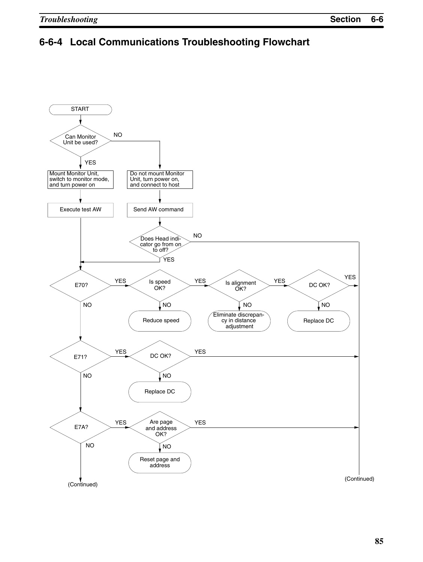## **6-6-4 Local Communications Troubleshooting Flowchart**

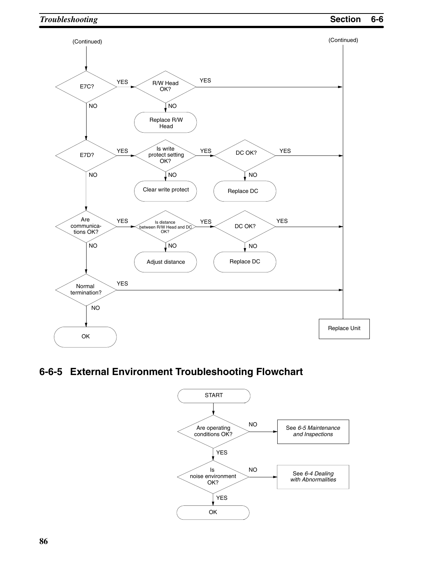

## **6-6-5 External Environment Troubleshooting Flowchart**

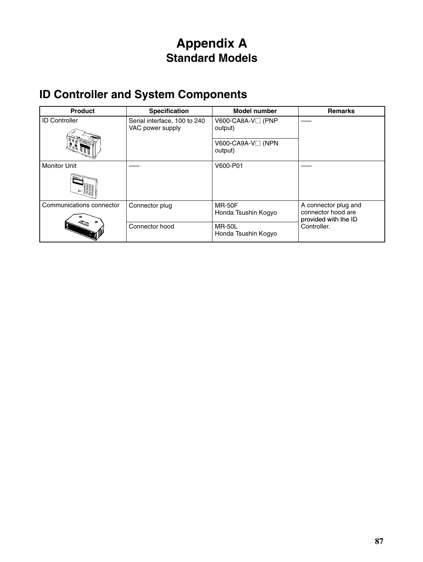# **Appendix A Standard Models**

# **ID Controller and System Components**

| <b>Product</b>           | <b>Specification</b>                             | <b>Model number</b>                   | <b>Remarks</b>                             |
|--------------------------|--------------------------------------------------|---------------------------------------|--------------------------------------------|
| <b>ID Controller</b>     | Serial interface, 100 to 240<br>VAC power supply | V600-CA8A-V□ (PNP<br>output)          |                                            |
|                          |                                                  | $V600$ -CA9A-V $\Box$ (NPN<br>output) |                                            |
| <b>Monitor Unit</b>      |                                                  | V600-P01                              |                                            |
|                          |                                                  |                                       |                                            |
| Communications connector | Connector plug                                   | <b>MR-50F</b>                         | A connector plug and                       |
|                          |                                                  | Honda Tsushin Kogyo                   | connector hood are<br>provided with the ID |
|                          | Connector hood                                   | <b>MR-50L</b><br>Honda Tsushin Kogyo  | Controller.                                |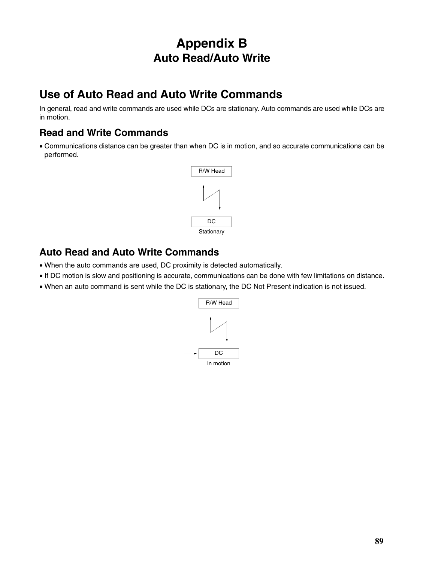# **Appendix B Auto Read/Auto Write**

## **Use of Auto Read and Auto Write Commands**

In general, read and write commands are used while DCs are stationary. Auto commands are used while DCs are in motion.

### **Read and Write Commands**

• Communications distance can be greater than when DC is in motion, and so accurate communications can be performed.



### **Auto Read and Auto Write Commands**

- When the auto commands are used, DC proximity is detected automatically.
- If DC motion is slow and positioning is accurate, communications can be done with few limitations on distance.
- When an auto command is sent while the DC is stationary, the DC Not Present indication is not issued.

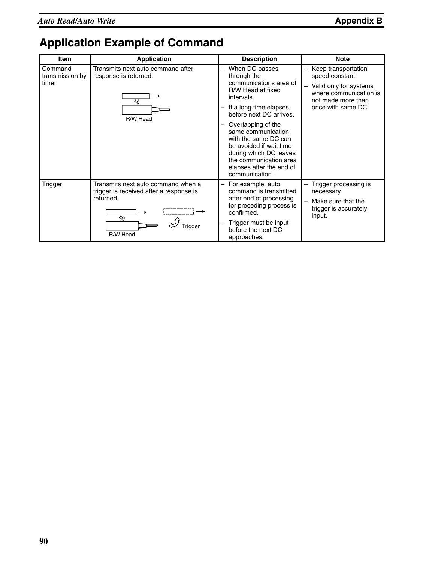# **Application Example of Command**

| Item                                | <b>Application</b>                                                                         | <b>Description</b>                                                                                                                                                                                                                                  | <b>Note</b>                                                                                                                            |
|-------------------------------------|--------------------------------------------------------------------------------------------|-----------------------------------------------------------------------------------------------------------------------------------------------------------------------------------------------------------------------------------------------------|----------------------------------------------------------------------------------------------------------------------------------------|
| Command<br>transmission by<br>timer | Transmits next auto command after<br>response is returned.<br>44<br>R/W Head               | When DC passes<br>through the<br>communications area of<br>R/W Head at fixed<br>intervals.<br>If a long time elapses<br>before next DC arrives.<br>Overlapping of the<br>—<br>same communication<br>with the same DC can<br>be avoided if wait time | Keep transportation<br>speed constant.<br>Valid only for systems<br>where communication is<br>not made more than<br>once with same DC. |
|                                     |                                                                                            | during which DC leaves<br>the communication area<br>elapses after the end of<br>communication.                                                                                                                                                      |                                                                                                                                        |
| Trigger                             | Transmits next auto command when a<br>trigger is received after a response is<br>returned. | For example, auto<br>$\qquad \qquad -$<br>command is transmitted<br>after end of processing<br>for preceding process is<br>confirmed.                                                                                                               | Trigger processing is<br>necessary.<br>Make sure that the<br>trigger is accurately                                                     |
|                                     | łi,<br>R/W Head                                                                            | Trigger must be input<br>$\overline{\phantom{0}}$<br>before the next DC<br>approaches.                                                                                                                                                              | input.                                                                                                                                 |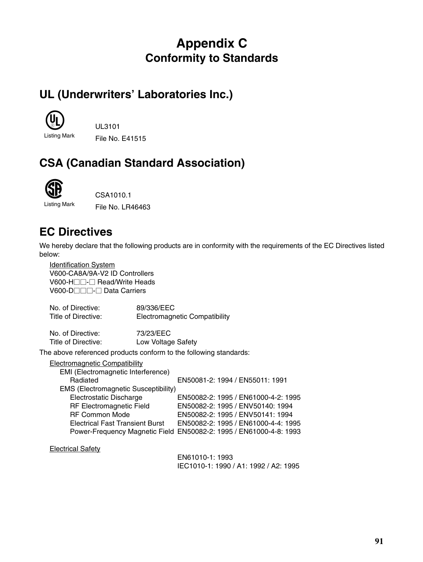# **Appendix C Conformity to Standards**

# **UL (Underwriters' Laboratories Inc.)**



Listing Mark File No. E41515

# **CSA (Canadian Standard Association)**



CSA1010.1

Listing Mark File No. LR46463

## **EC Directives**

We hereby declare that the following products are in conformity with the requirements of the EC Directives listed below:

Identification System V600-CA8A/9A-V2 ID Controllers V600-H<sub>□</sub> Read/Write Heads V600-D<sub>□</sub> Data Carriers

No. of Directive: 89/336/EEC<br>Title of Directive: Electromagne **Electromagnetic Compatibility** No. of Directive: 73/23/EEC Title of Directive: Low Voltage Safety The above referenced products conform to the following standards:

#### Electromagnetic Compatibility

| EMI (Electromagnetic Interference)          |                                                                    |
|---------------------------------------------|--------------------------------------------------------------------|
| Radiated                                    | EN50081-2: 1994 / EN55011: 1991                                    |
| <b>EMS (Electromagnetic Susceptibility)</b> |                                                                    |
| Electrostatic Discharge                     | EN50082-2: 1995 / EN61000-4-2: 1995                                |
| RF Electromagnetic Field                    | EN50082-2: 1995 / ENV50140: 1994                                   |
| <b>RF Common Mode</b>                       | EN50082-2: 1995 / ENV50141: 1994                                   |
| <b>Electrical Fast Transient Burst</b>      | EN50082-2: 1995 / EN61000-4-4: 1995                                |
|                                             | Power-Frequency Magnetic Field EN50082-2: 1995 / EN61000-4-8: 1993 |
|                                             |                                                                    |

Electrical Safety

EN61010-1: 1993 IEC1010-1: 1990 / A1: 1992 / A2: 1995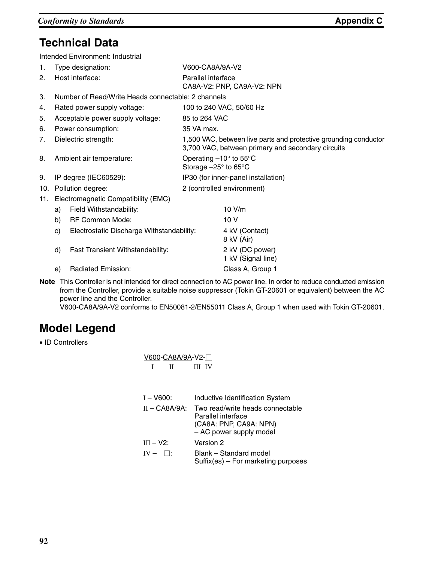## **Technical Data**

Intended Environment: Industrial

| 1.  |                   | Type designation:                                  | V600-CA8A/9A-V2                                                                 |                                                                                                                       |
|-----|-------------------|----------------------------------------------------|---------------------------------------------------------------------------------|-----------------------------------------------------------------------------------------------------------------------|
| 2.  |                   | Host interface:                                    | Parallel interface<br>CA8A-V2: PNP, CA9A-V2: NPN                                |                                                                                                                       |
| 3.  |                   | Number of Read/Write Heads connectable: 2 channels |                                                                                 |                                                                                                                       |
| 4.  |                   | Rated power supply voltage:                        |                                                                                 | 100 to 240 VAC, 50/60 Hz                                                                                              |
| 5.  |                   | Acceptable power supply voltage:                   | 85 to 264 VAC                                                                   |                                                                                                                       |
| 6.  |                   | Power consumption:                                 | 35 VA max.                                                                      |                                                                                                                       |
| 7.  |                   | Dielectric strength:                               |                                                                                 | 1,500 VAC, between live parts and protective grounding conductor<br>3,700 VAC, between primary and secondary circuits |
| 8.  |                   | Ambient air temperature:                           | Operating $-10^\circ$ to 55 $\degree$ C<br>Storage $-25^\circ$ to 65 $^\circ$ C |                                                                                                                       |
| 9.  |                   | IP degree (IEC60529):                              |                                                                                 | IP30 (for inner-panel installation)                                                                                   |
| 10. | Pollution degree: |                                                    |                                                                                 | 2 (controlled environment)                                                                                            |
| 11. |                   | Electromagnetic Compatibility (EMC)                |                                                                                 |                                                                                                                       |
|     | a)                | Field Withstandability:                            |                                                                                 | 10 V/m                                                                                                                |
|     | b)                | <b>RF Common Mode:</b>                             |                                                                                 | 10 <sub>V</sub>                                                                                                       |
|     | C)                | Electrostatic Discharge Withstandability:          |                                                                                 | 4 kV (Contact)<br>8 kV (Air)                                                                                          |
|     | d)                | Fast Transient Withstandability:                   |                                                                                 | 2 kV (DC power)<br>1 kV (Signal line)                                                                                 |
|     | e)                | Radiated Emission:                                 |                                                                                 | Class A, Group 1                                                                                                      |
|     |                   |                                                    |                                                                                 |                                                                                                                       |

**Note** This Controller is not intended for direct connection to AC power line. In order to reduce conducted emission from the Controller, provide a suitable noise suppressor (Tokin GT-20601 or equivalent) between the AC power line and the Controller.

V600-CA8A/9A-V2 conforms to EN50081-2/EN55011 Class A, Group 1 when used with Tokin GT-20601.

## **Model Legend**

• ID Controllers

| <u>V600-CA8A/9A-V2-□</u> |   |        |
|--------------------------|---|--------|
|                          | Н | III IV |

| $I - V600:$      | Inductive Identification System                                                                             |
|------------------|-------------------------------------------------------------------------------------------------------------|
| $II - CABA/9A$ : | Two read/write heads connectable<br>Parallel interface<br>(CA8A: PNP, CA9A: NPN)<br>- AC power supply model |
| $III - V2$ :     | Version 2                                                                                                   |
| $IV - \Box$      | Blank - Standard model<br>Suffix(es) – For marketing purposes                                               |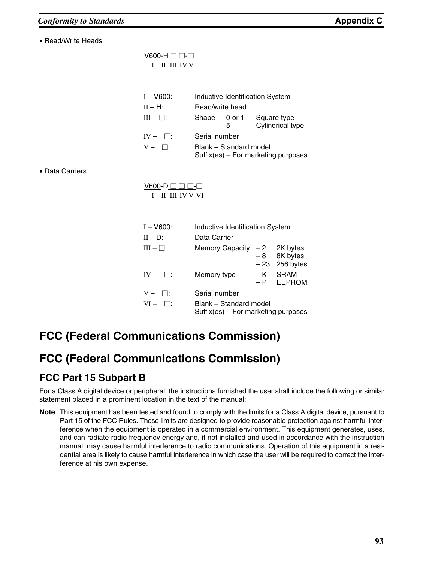• Read/Write Heads

 $V600-H \Box \Box - \Box$ I II III IV V

| $I - V600$ :   |                                                                 |                        | Inductive Identification System        |
|----------------|-----------------------------------------------------------------|------------------------|----------------------------------------|
| $H - H$ :      |                                                                 | Read/write head        |                                        |
| $III - \Box$ : |                                                                 | Shape $-0$ or 1<br>- 5 | Square type<br><b>Cylindrical type</b> |
| $IV - \Box$    | Serial number                                                   |                        |                                        |
| $V - \Box$     | Blank - Standard model<br>$Suffix(es) - For marketing purposes$ |                        |                                        |

• Data Carriers

 $V600 - D \square \square \square -$ I II III IV V VI

| $I - V600:$    | Inductive Identification System                                 |     |                                  |  |
|----------------|-----------------------------------------------------------------|-----|----------------------------------|--|
| $II - D$ :     | Data Carrier                                                    |     |                                  |  |
| $III - \Box$ : | Memory Capacity $-2$ 2K bytes                                   |     | $-8$ 8K bytes<br>$-23$ 256 bytes |  |
| $IV - \Box$ :  | Memory type                                                     | – K | SRAM<br>- P EEPROM               |  |
| $V - \Box$     | Serial number                                                   |     |                                  |  |
| $VI - \Box$    | Blank - Standard model<br>$Suffix(es) - For marketing purposes$ |     |                                  |  |

# **FCC (Federal Communications Commission)**

## **FCC (Federal Communications Commission)**

## **FCC Part 15 Subpart B**

For a Class A digital device or peripheral, the instructions furnished the user shall include the following or similar statement placed in a prominent location in the text of the manual:

**Note** This equipment has been tested and found to comply with the limits for a Class A digital device, pursuant to Part 15 of the FCC Rules. These limits are designed to provide reasonable protection against harmful interference when the equipment is operated in a commercial environment. This equipment generates, uses, and can radiate radio frequency energy and, if not installed and used in accordance with the instruction manual, may cause harmful interference to radio communications. Operation of this equipment in a residential area is likely to cause harmful interference in which case the user will be required to correct the interference at his own expense.